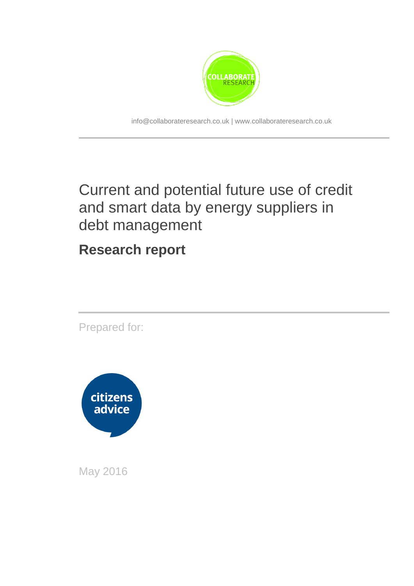

info@collaborateresearch.co.uk | www.collaborateresearch.co.uk

## Current and potential future use of credit and smart data by energy suppliers in debt management

**Research report**

Prepared for:



May 2016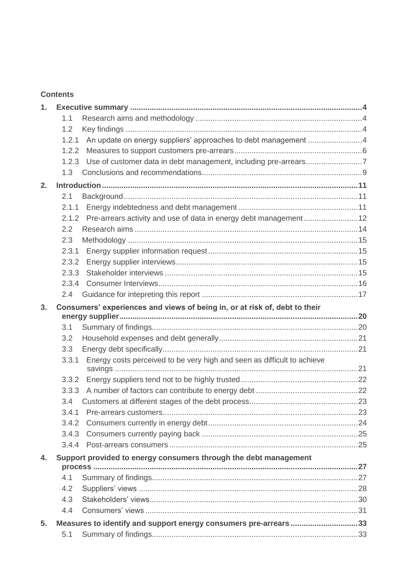#### **Contents**

| 1.             |               |                                                                            |  |
|----------------|---------------|----------------------------------------------------------------------------|--|
|                | 1.1           |                                                                            |  |
|                | 1.2           |                                                                            |  |
|                | 1.2.1         |                                                                            |  |
|                | 1.2.2         |                                                                            |  |
|                | 1.2.3         | Use of customer data in debt management, including pre-arrears7            |  |
|                | 1.3           |                                                                            |  |
| 2.             |               |                                                                            |  |
|                | 2.1           |                                                                            |  |
|                | 2.1.1         |                                                                            |  |
|                | 2.1.2         |                                                                            |  |
|                | 2.2           |                                                                            |  |
|                | 2.3           |                                                                            |  |
|                | 2.3.1         |                                                                            |  |
|                | 2.3.2         |                                                                            |  |
|                | 2.3.3         |                                                                            |  |
|                | 2.3.4         |                                                                            |  |
|                | $2.4^{\circ}$ |                                                                            |  |
| 3 <sub>1</sub> |               | Consumers' experiences and views of being in, or at risk of, debt to their |  |
|                |               |                                                                            |  |
|                | 3.1           |                                                                            |  |
|                | 3.2           |                                                                            |  |
|                | 3.3           |                                                                            |  |
|                | 3.3.1         | Energy costs perceived to be very high and seen as difficult to achieve    |  |
|                | 3.3.2         |                                                                            |  |
|                | 3.3.3         |                                                                            |  |
|                | 3.4           |                                                                            |  |
|                | 3.4.1         |                                                                            |  |
|                |               |                                                                            |  |
|                | 3.4.3         |                                                                            |  |
|                |               |                                                                            |  |
| 4.             |               | Support provided to energy consumers through the debt management           |  |
|                |               |                                                                            |  |
|                | 4.1           |                                                                            |  |
|                | 4.2           |                                                                            |  |
|                | 4.3           |                                                                            |  |
|                | 4.4           |                                                                            |  |
| 5.             |               | Measures to identify and support energy consumers pre-arrears 33           |  |
|                | 5.1           |                                                                            |  |
|                |               |                                                                            |  |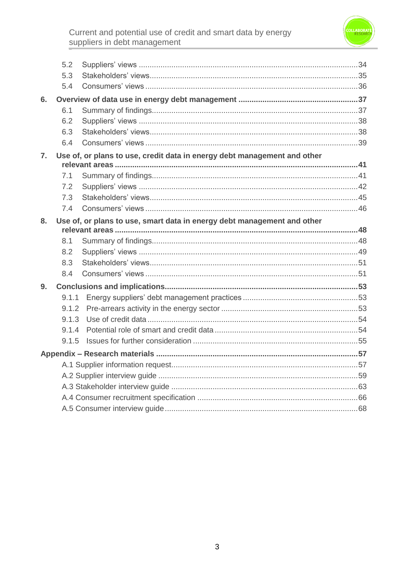# Current and potential use of credit and smart data by energy<br>suppliers in debt management



|    | 5.2   |                                                                          |  |
|----|-------|--------------------------------------------------------------------------|--|
|    | 5.3   |                                                                          |  |
|    | 5.4   |                                                                          |  |
| 6. |       |                                                                          |  |
|    | 6.1   |                                                                          |  |
|    | 6.2   |                                                                          |  |
|    | 6.3   |                                                                          |  |
|    | 6.4   |                                                                          |  |
| 7. |       | Use of, or plans to use, credit data in energy debt management and other |  |
|    | 7.1   |                                                                          |  |
|    | 7.2   |                                                                          |  |
|    | 7.3   |                                                                          |  |
|    | 7.4   |                                                                          |  |
| 8. |       | Use of, or plans to use, smart data in energy debt management and other  |  |
|    |       |                                                                          |  |
|    | 8.1   |                                                                          |  |
|    | 8.2   |                                                                          |  |
|    | 8.3   |                                                                          |  |
|    | 8.4   |                                                                          |  |
| 9. |       |                                                                          |  |
|    | 9.1.1 |                                                                          |  |
|    | 9.1.2 |                                                                          |  |
|    |       |                                                                          |  |
|    | 9.1.4 |                                                                          |  |
|    | 9.1.5 |                                                                          |  |
|    |       |                                                                          |  |
|    |       |                                                                          |  |
|    |       |                                                                          |  |
|    |       |                                                                          |  |
|    |       |                                                                          |  |
|    |       |                                                                          |  |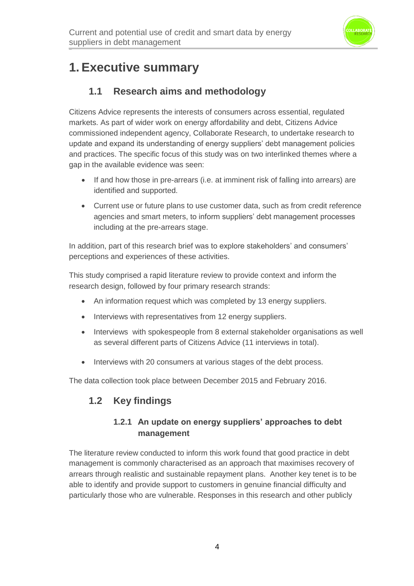

## **1. Executive summary**

## **1.1 Research aims and methodology**

Citizens Advice represents the interests of consumers across essential, regulated markets. As part of wider work on energy affordability and debt, Citizens Advice commissioned independent agency, Collaborate Research, to undertake research to update and expand its understanding of energy suppliers' debt management policies and practices. The specific focus of this study was on two interlinked themes where a gap in the available evidence was seen:

- If and how those in pre-arrears (i.e. at imminent risk of falling into arrears) are identified and supported.
- Current use or future plans to use customer data, such as from credit reference agencies and smart meters, to inform suppliers' debt management processes including at the pre-arrears stage.

In addition, part of this research brief was to explore stakeholders' and consumers' perceptions and experiences of these activities.

This study comprised a rapid literature review to provide context and inform the research design, followed by four primary research strands:

- An information request which was completed by 13 energy suppliers.
- Interviews with representatives from 12 energy suppliers.
- Interviews with spokespeople from 8 external stakeholder organisations as well as several different parts of Citizens Advice (11 interviews in total).
- Interviews with 20 consumers at various stages of the debt process.

The data collection took place between December 2015 and February 2016.

### **1.2 Key findings**

#### **1.2.1 An update on energy suppliers' approaches to debt management**

The literature review conducted to inform this work found that good practice in debt management is commonly characterised as an approach that maximises recovery of arrears through realistic and sustainable repayment plans. Another key tenet is to be able to identify and provide support to customers in genuine financial difficulty and particularly those who are vulnerable. Responses in this research and other publicly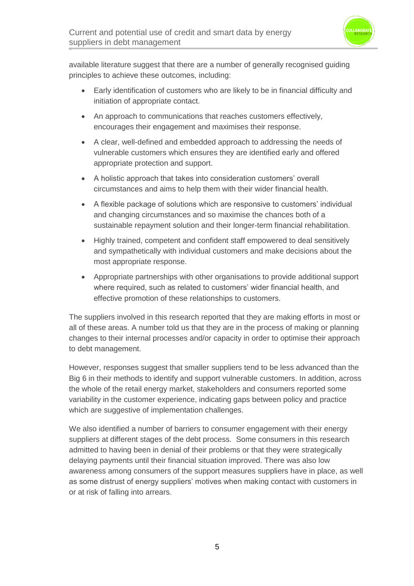

available literature suggest that there are a number of generally recognised guiding principles to achieve these outcomes, including:

- Early identification of customers who are likely to be in financial difficulty and initiation of appropriate contact.
- An approach to communications that reaches customers effectively, encourages their engagement and maximises their response.
- A clear, well-defined and embedded approach to addressing the needs of vulnerable customers which ensures they are identified early and offered appropriate protection and support.
- A holistic approach that takes into consideration customers' overall circumstances and aims to help them with their wider financial health.
- A flexible package of solutions which are responsive to customers' individual and changing circumstances and so maximise the chances both of a sustainable repayment solution and their longer-term financial rehabilitation.
- Highly trained, competent and confident staff empowered to deal sensitively and sympathetically with individual customers and make decisions about the most appropriate response.
- Appropriate partnerships with other organisations to provide additional support where required, such as related to customers' wider financial health, and effective promotion of these relationships to customers.

The suppliers involved in this research reported that they are making efforts in most or all of these areas. A number told us that they are in the process of making or planning changes to their internal processes and/or capacity in order to optimise their approach to debt management.

However, responses suggest that smaller suppliers tend to be less advanced than the Big 6 in their methods to identify and support vulnerable customers. In addition, across the whole of the retail energy market, stakeholders and consumers reported some variability in the customer experience, indicating gaps between policy and practice which are suggestive of implementation challenges.

We also identified a number of barriers to consumer engagement with their energy suppliers at different stages of the debt process. Some consumers in this research admitted to having been in denial of their problems or that they were strategically delaying payments until their financial situation improved. There was also low awareness among consumers of the support measures suppliers have in place, as well as some distrust of energy suppliers' motives when making contact with customers in or at risk of falling into arrears.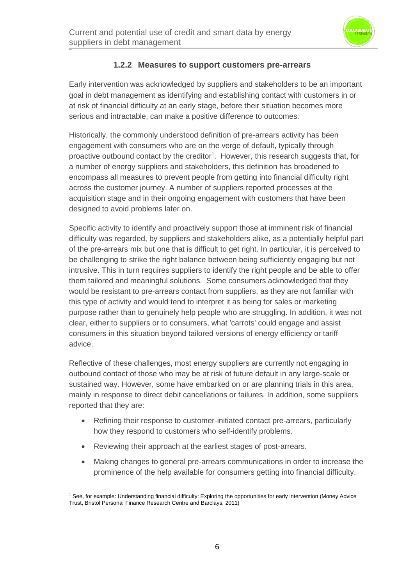

#### **1.2.2 Measures to support customers pre-arrears**

Early intervention was acknowledged by suppliers and stakeholders to be an important goal in debt management as identifying and establishing contact with customers in or at risk of financial difficulty at an early stage, before their situation becomes more serious and intractable, can make a positive difference to outcomes.

Historically, the commonly understood definition of pre-arrears activity has been engagement with consumers who are on the verge of default, typically through proactive outbound contact by the creditor<sup>1</sup>. However, this research suggests that, for a number of energy suppliers and stakeholders, this definition has broadened to encompass all measures to prevent people from getting into financial difficulty right across the customer journey. A number of suppliers reported processes at the acquisition stage and in their ongoing engagement with customers that have been designed to avoid problems later on.

Specific activity to identify and proactively support those at imminent risk of financial difficulty was regarded, by suppliers and stakeholders alike, as a potentially helpful part of the pre-arrears mix but one that is difficult to get right. In particular, it is perceived to be challenging to strike the right balance between being sufficiently engaging but not intrusive. This in turn requires suppliers to identify the right people and be able to offer them tailored and meaningful solutions. Some consumers acknowledged that they would be resistant to pre-arrears contact from suppliers, as they are not familiar with this type of activity and would tend to interpret it as being for sales or marketing purpose rather than to genuinely help people who are struggling. In addition, it was not clear, either to suppliers or to consumers, what 'carrots' could engage and assist consumers in this situation beyond tailored versions of energy efficiency or tariff advice.

Reflective of these challenges, most energy suppliers are currently not engaging in outbound contact of those who may be at risk of future default in any large-scale or sustained way. However, some have embarked on or are planning trials in this area, mainly in response to direct debit cancellations or failures. In addition, some suppliers reported that they are:

- Refining their response to customer-initiated contact pre-arrears, particularly how they respond to customers who self-identify problems.
- Reviewing their approach at the earliest stages of post-arrears.
- Making changes to general pre-arrears communications in order to increase the prominence of the help available for consumers getting into financial difficulty.

<sup>&</sup>lt;sup>1</sup> See, for example: Understanding financial difficulty: Exploring the opportunities for early intervention (Money Advice Trust, Bristol Personal Finance Research Centre and Barclays, 2011)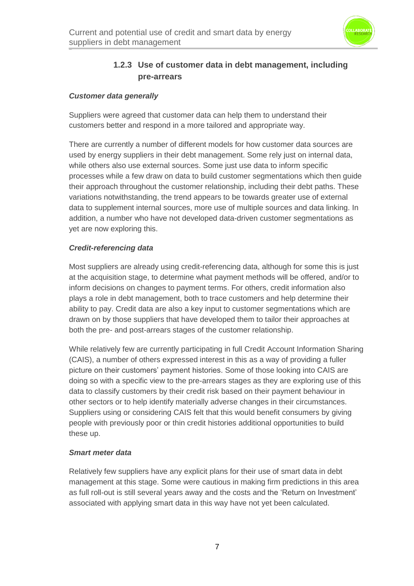

#### **1.2.3 Use of customer data in debt management, including pre-arrears**

#### *Customer data generally*

Suppliers were agreed that customer data can help them to understand their customers better and respond in a more tailored and appropriate way.

There are currently a number of different models for how customer data sources are used by energy suppliers in their debt management. Some rely just on internal data, while others also use external sources. Some just use data to inform specific processes while a few draw on data to build customer segmentations which then guide their approach throughout the customer relationship, including their debt paths. These variations notwithstanding, the trend appears to be towards greater use of external data to supplement internal sources, more use of multiple sources and data linking. In addition, a number who have not developed data-driven customer segmentations as yet are now exploring this.

#### *Credit-referencing data*

Most suppliers are already using credit-referencing data, although for some this is just at the acquisition stage, to determine what payment methods will be offered, and/or to inform decisions on changes to payment terms. For others, credit information also plays a role in debt management, both to trace customers and help determine their ability to pay. Credit data are also a key input to customer segmentations which are drawn on by those suppliers that have developed them to tailor their approaches at both the pre- and post-arrears stages of the customer relationship.

While relatively few are currently participating in full Credit Account Information Sharing (CAIS), a number of others expressed interest in this as a way of providing a fuller picture on their customers' payment histories. Some of those looking into CAIS are doing so with a specific view to the pre-arrears stages as they are exploring use of this data to classify customers by their credit risk based on their payment behaviour in other sectors or to help identify materially adverse changes in their circumstances. Suppliers using or considering CAIS felt that this would benefit consumers by giving people with previously poor or thin credit histories additional opportunities to build these up.

#### *Smart meter data*

Relatively few suppliers have any explicit plans for their use of smart data in debt management at this stage. Some were cautious in making firm predictions in this area as full roll-out is still several years away and the costs and the 'Return on Investment' associated with applying smart data in this way have not yet been calculated.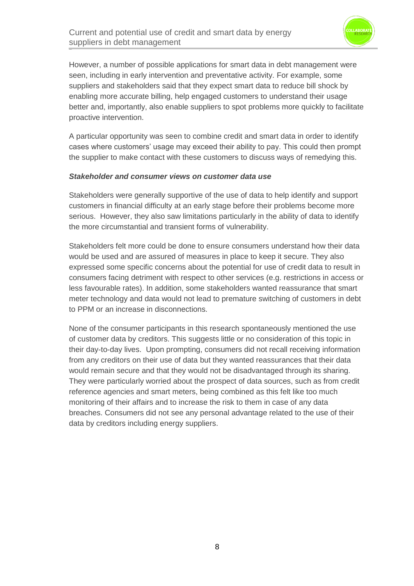

However, a number of possible applications for smart data in debt management were seen, including in early intervention and preventative activity. For example, some suppliers and stakeholders said that they expect smart data to reduce bill shock by enabling more accurate billing, help engaged customers to understand their usage better and, importantly, also enable suppliers to spot problems more quickly to facilitate proactive intervention.

A particular opportunity was seen to combine credit and smart data in order to identify cases where customers' usage may exceed their ability to pay. This could then prompt the supplier to make contact with these customers to discuss ways of remedying this.

#### *Stakeholder and consumer views on customer data use*

Stakeholders were generally supportive of the use of data to help identify and support customers in financial difficulty at an early stage before their problems become more serious. However, they also saw limitations particularly in the ability of data to identify the more circumstantial and transient forms of vulnerability.

Stakeholders felt more could be done to ensure consumers understand how their data would be used and are assured of measures in place to keep it secure. They also expressed some specific concerns about the potential for use of credit data to result in consumers facing detriment with respect to other services (e.g. restrictions in access or less favourable rates). In addition, some stakeholders wanted reassurance that smart meter technology and data would not lead to premature switching of customers in debt to PPM or an increase in disconnections.

None of the consumer participants in this research spontaneously mentioned the use of customer data by creditors. This suggests little or no consideration of this topic in their day-to-day lives. Upon prompting, consumers did not recall receiving information from any creditors on their use of data but they wanted reassurances that their data would remain secure and that they would not be disadvantaged through its sharing. They were particularly worried about the prospect of data sources, such as from credit reference agencies and smart meters, being combined as this felt like too much monitoring of their affairs and to increase the risk to them in case of any data breaches. Consumers did not see any personal advantage related to the use of their data by creditors including energy suppliers.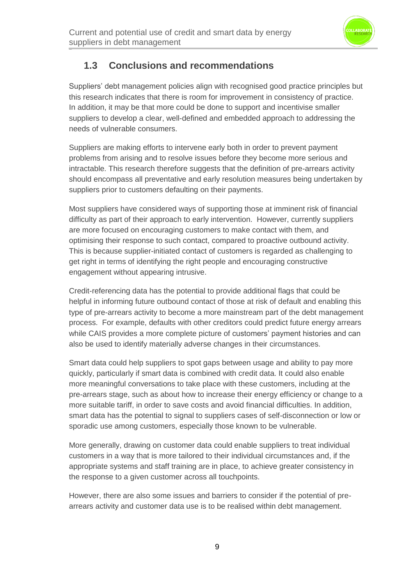

## **1.3 Conclusions and recommendations**

Suppliers' debt management policies align with recognised good practice principles but this research indicates that there is room for improvement in consistency of practice. In addition, it may be that more could be done to support and incentivise smaller suppliers to develop a clear, well-defined and embedded approach to addressing the needs of vulnerable consumers.

Suppliers are making efforts to intervene early both in order to prevent payment problems from arising and to resolve issues before they become more serious and intractable. This research therefore suggests that the definition of pre-arrears activity should encompass all preventative and early resolution measures being undertaken by suppliers prior to customers defaulting on their payments.

Most suppliers have considered ways of supporting those at imminent risk of financial difficulty as part of their approach to early intervention. However, currently suppliers are more focused on encouraging customers to make contact with them, and optimising their response to such contact, compared to proactive outbound activity. This is because supplier-initiated contact of customers is regarded as challenging to get right in terms of identifying the right people and encouraging constructive engagement without appearing intrusive.

Credit-referencing data has the potential to provide additional flags that could be helpful in informing future outbound contact of those at risk of default and enabling this type of pre-arrears activity to become a more mainstream part of the debt management process. For example, defaults with other creditors could predict future energy arrears while CAIS provides a more complete picture of customers' payment histories and can also be used to identify materially adverse changes in their circumstances.

Smart data could help suppliers to spot gaps between usage and ability to pay more quickly, particularly if smart data is combined with credit data. It could also enable more meaningful conversations to take place with these customers, including at the pre-arrears stage, such as about how to increase their energy efficiency or change to a more suitable tariff, in order to save costs and avoid financial difficulties. In addition, smart data has the potential to signal to suppliers cases of self-disconnection or low or sporadic use among customers, especially those known to be vulnerable.

More generally, drawing on customer data could enable suppliers to treat individual customers in a way that is more tailored to their individual circumstances and, if the appropriate systems and staff training are in place, to achieve greater consistency in the response to a given customer across all touchpoints.

However, there are also some issues and barriers to consider if the potential of prearrears activity and customer data use is to be realised within debt management.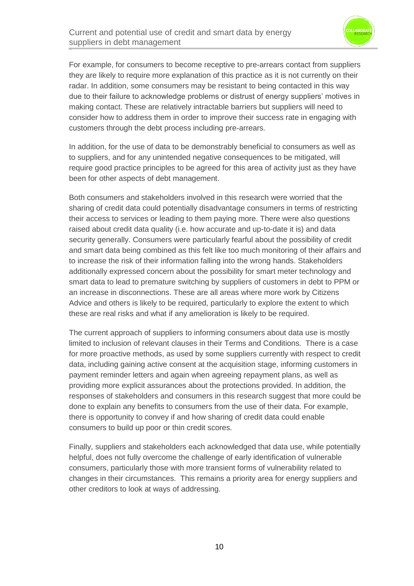

For example, for consumers to become receptive to pre-arrears contact from suppliers they are likely to require more explanation of this practice as it is not currently on their radar. In addition, some consumers may be resistant to being contacted in this way due to their failure to acknowledge problems or distrust of energy suppliers' motives in making contact. These are relatively intractable barriers but suppliers will need to consider how to address them in order to improve their success rate in engaging with customers through the debt process including pre-arrears.

In addition, for the use of data to be demonstrably beneficial to consumers as well as to suppliers, and for any unintended negative consequences to be mitigated, will require good practice principles to be agreed for this area of activity just as they have been for other aspects of debt management.

Both consumers and stakeholders involved in this research were worried that the sharing of credit data could potentially disadvantage consumers in terms of restricting their access to services or leading to them paying more. There were also questions raised about credit data quality (i.e. how accurate and up-to-date it is) and data security generally. Consumers were particularly fearful about the possibility of credit and smart data being combined as this felt like too much monitoring of their affairs and to increase the risk of their information falling into the wrong hands. Stakeholders additionally expressed concern about the possibility for smart meter technology and smart data to lead to premature switching by suppliers of customers in debt to PPM or an increase in disconnections. These are all areas where more work by Citizens Advice and others is likely to be required, particularly to explore the extent to which these are real risks and what if any amelioration is likely to be required.

The current approach of suppliers to informing consumers about data use is mostly limited to inclusion of relevant clauses in their Terms and Conditions. There is a case for more proactive methods, as used by some suppliers currently with respect to credit data, including gaining active consent at the acquisition stage, informing customers in payment reminder letters and again when agreeing repayment plans, as well as providing more explicit assurances about the protections provided. In addition, the responses of stakeholders and consumers in this research suggest that more could be done to explain any benefits to consumers from the use of their data. For example, there is opportunity to convey if and how sharing of credit data could enable consumers to build up poor or thin credit scores.

Finally, suppliers and stakeholders each acknowledged that data use, while potentially helpful, does not fully overcome the challenge of early identification of vulnerable consumers, particularly those with more transient forms of vulnerability related to changes in their circumstances. This remains a priority area for energy suppliers and other creditors to look at ways of addressing.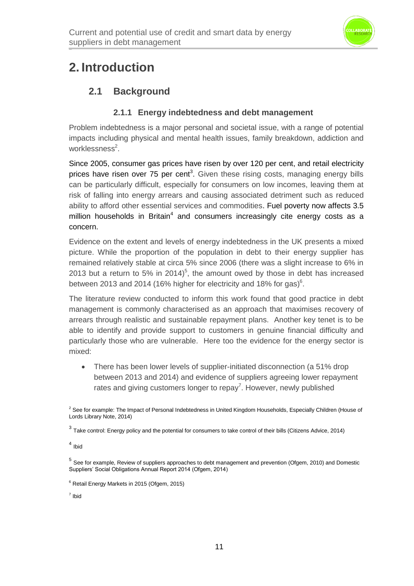

## **2. Introduction**

## **2.1 Background**

#### **2.1.1 Energy indebtedness and debt management**

Problem indebtedness is a major personal and societal issue, with a range of potential impacts including physical and mental health issues, family breakdown, addiction and worklessness<sup>2</sup>.

Since 2005, consumer gas prices have risen by over 120 per cent, and retail electricity prices have risen over 75 per cent<sup>3</sup>. Given these rising costs, managing energy bills can be particularly difficult, especially for consumers on low incomes, leaving them at risk of falling into energy arrears and causing associated detriment such as reduced ability to afford other essential services and commodities. Fuel poverty now affects 3.5 million households in Britain<sup>4</sup> and consumers increasingly cite energy costs as a concern.

Evidence on the extent and levels of energy indebtedness in the UK presents a mixed picture. While the proportion of the population in debt to their energy supplier has remained relatively stable at circa 5% since 2006 (there was a slight increase to 6% in 2013 but a return to 5% in 2014)<sup>5</sup>, the amount owed by those in debt has increased between 2013 and 2014 (16% higher for electricity and 18% for gas) $^6$ .

The literature review conducted to inform this work found that good practice in debt management is commonly characterised as an approach that maximises recovery of arrears through realistic and sustainable repayment plans. Another key tenet is to be able to identify and provide support to customers in genuine financial difficulty and particularly those who are vulnerable. Here too the evidence for the energy sector is mixed:

• There has been lower levels of supplier-initiated disconnection (a 51% drop between 2013 and 2014) and evidence of suppliers agreeing lower repayment rates and giving customers longer to repay<sup>7</sup>. However, newly published

<sup>&</sup>lt;sup>2</sup> See for example: The Impact of Personal Indebtedness in United Kingdom Households, Especially Children (House of Lords Library Note, 2014)

 $^3$  Take control: Energy policy and the potential for consumers to take control of their bills (Citizens Advice, 2014)

<sup>4</sup> Ibid

<sup>&</sup>lt;sup>5</sup> See for example, Review of suppliers approaches to debt management and prevention (Ofgem, 2010) and Domestic Suppliers' Social Obligations Annual Report 2014 (Ofgem, 2014)

<sup>6</sup> Retail Energy Markets in 2015 (Ofgem, 2015)

<sup>7</sup> Ibid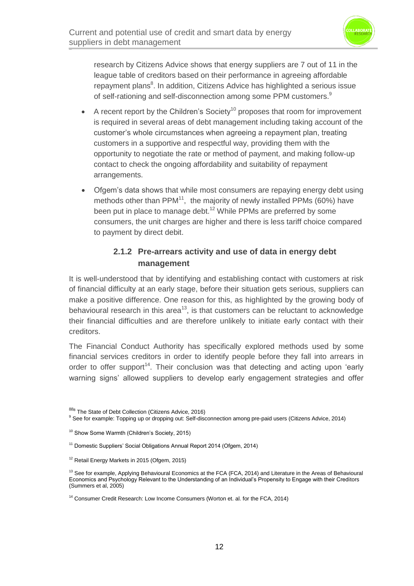

research by Citizens Advice shows that energy suppliers are 7 out of 11 in the league table of creditors based on their performance in agreeing affordable repayment plans<sup>8</sup>. In addition, Citizens Advice has highlighted a serious issue of self-rationing and self-disconnection among some PPM customers.<sup>9</sup>

- A recent report by the Children's Society<sup>10</sup> proposes that room for improvement is required in several areas of debt management including taking account of the customer's whole circumstances when agreeing a repayment plan, treating customers in a supportive and respectful way, providing them with the opportunity to negotiate the rate or method of payment, and making follow-up contact to check the ongoing affordability and suitability of repayment arrangements.
- Ofgem's data shows that while most consumers are repaying energy debt using methods other than  $PPM<sup>11</sup>$ , the majority of newly installed PPMs (60%) have been put in place to manage debt.<sup>12</sup> While PPMs are preferred by some consumers, the unit charges are higher and there is less tariff choice compared to payment by direct debit.

#### **2.1.2 Pre-arrears activity and use of data in energy debt management**

It is well-understood that by identifying and establishing contact with customers at risk of financial difficulty at an early stage, before their situation gets serious, suppliers can make a positive difference. One reason for this, as highlighted by the growing body of behavioural research in this area<sup>13</sup>, is that customers can be reluctant to acknowledge their financial difficulties and are therefore unlikely to initiate early contact with their creditors.

The Financial Conduct Authority has specifically explored methods used by some financial services creditors in order to identify people before they fall into arrears in order to offer support<sup>14</sup>. Their conclusion was that detecting and acting upon 'early warning signs' allowed suppliers to develop early engagement strategies and offer

 $888$  The State of Debt Collection (Citizens Advice, 2016)

<sup>9</sup> See for example: Topping up or dropping out: Self-disconnection among pre-paid users (Citizens Advice, 2014)

<sup>&</sup>lt;sup>10</sup> Show Some Warmth (Children's Society, 2015)

<sup>&</sup>lt;sup>11</sup> Domestic Suppliers' Social Obligations Annual Report 2014 (Ofgem, 2014)

<sup>&</sup>lt;sup>12</sup> Retail Energy Markets in 2015 (Ofgem, 2015)

 $13$  See for example, Applying Behavioural Economics at the FCA (FCA, 2014) and Literature in the Areas of Behavioural Economics and Psychology Relevant to the Understanding of an Individual's Propensity to Engage with their Creditors (Summers et al, 2005)

<sup>&</sup>lt;sup>14</sup> Consumer Credit Research: Low Income Consumers (Worton et. al. for the FCA, 2014)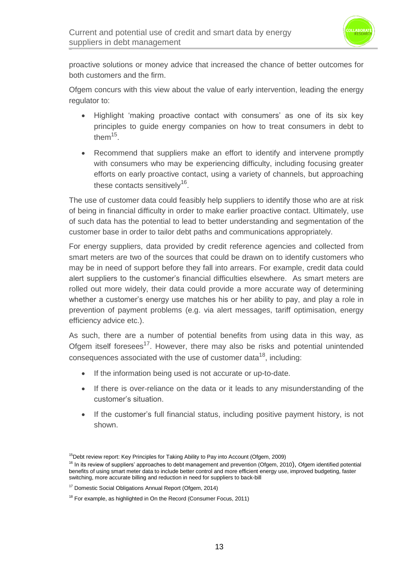

proactive solutions or money advice that increased the chance of better outcomes for both customers and the firm.

Ofgem concurs with this view about the value of early intervention, leading the energy regulator to:

- Highlight 'making proactive contact with consumers' as one of its six key principles to guide energy companies on how to treat consumers in debt to them $^{15}$ .
- Recommend that suppliers make an effort to identify and intervene promptly with consumers who may be experiencing difficulty, including focusing greater efforts on early proactive contact, using a variety of channels, but approaching these contacts sensitively<sup>16</sup>.

The use of customer data could feasibly help suppliers to identify those who are at risk of being in financial difficulty in order to make earlier proactive contact. Ultimately, use of such data has the potential to lead to better understanding and segmentation of the customer base in order to tailor debt paths and communications appropriately.

For energy suppliers, data provided by credit reference agencies and collected from smart meters are two of the sources that could be drawn on to identify customers who may be in need of support before they fall into arrears. For example, credit data could alert suppliers to the customer's financial difficulties elsewhere. As smart meters are rolled out more widely, their data could provide a more accurate way of determining whether a customer's energy use matches his or her ability to pay, and play a role in prevention of payment problems (e.g. via alert messages, tariff optimisation, energy efficiency advice etc.).

As such, there are a number of potential benefits from using data in this way, as Ofgem itself foresees<sup>17</sup>. However, there may also be risks and potential unintended consequences associated with the use of customer data<sup>18</sup>, including:

- If the information being used is not accurate or up-to-date.
- If there is over-reliance on the data or it leads to any misunderstanding of the customer's situation.
- If the customer's full financial status, including positive payment history, is not shown.

<sup>&</sup>lt;sup>15</sup>Debt review report: Key Principles for Taking Ability to Pay into Account (Ofgem, 2009)

<sup>&</sup>lt;sup>16</sup> In its review of suppliers' approaches to debt management and prevention (Ofgem, 2010), Ofgem identified potential benefits of using smart meter data to include better control and more efficient energy use, improved budgeting, faster switching, more accurate billing and reduction in need for suppliers to back-bill

<sup>17</sup> Domestic Social Obligations Annual Report (Ofgem, 2014)

<sup>&</sup>lt;sup>18</sup> For example, as highlighted in On the Record (Consumer Focus, 2011)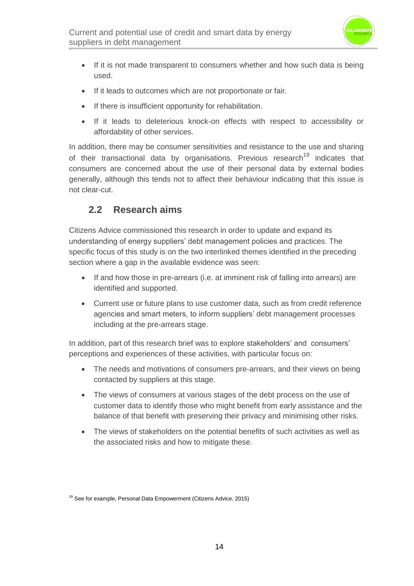

- If it is not made transparent to consumers whether and how such data is being used.
- If it leads to outcomes which are not proportionate or fair.
- If there is insufficient opportunity for rehabilitation.
- If it leads to deleterious knock-on effects with respect to accessibility or affordability of other services.

In addition, there may be consumer sensitivities and resistance to the use and sharing of their transactional data by organisations. Previous research<sup>19</sup> indicates that consumers are concerned about the use of their personal data by external bodies generally, although this tends not to affect their behaviour indicating that this issue is not clear-cut.

### **2.2 Research aims**

Citizens Advice commissioned this research in order to update and expand its understanding of energy suppliers' debt management policies and practices. The specific focus of this study is on the two interlinked themes identified in the preceding section where a gap in the available evidence was seen:

- If and how those in pre-arrears (i.e. at imminent risk of falling into arrears) are identified and supported.
- Current use or future plans to use customer data, such as from credit reference agencies and smart meters, to inform suppliers' debt management processes including at the pre-arrears stage.

In addition, part of this research brief was to explore stakeholders' and consumers' perceptions and experiences of these activities, with particular focus on:

- The needs and motivations of consumers pre-arrears, and their views on being contacted by suppliers at this stage.
- The views of consumers at various stages of the debt process on the use of customer data to identify those who might benefit from early assistance and the balance of that benefit with preserving their privacy and minimising other risks.
- The views of stakeholders on the potential benefits of such activities as well as the associated risks and how to mitigate these.

<sup>&</sup>lt;sup>19</sup> See for example, Personal Data Empowerment (Citizens Advice, 2015)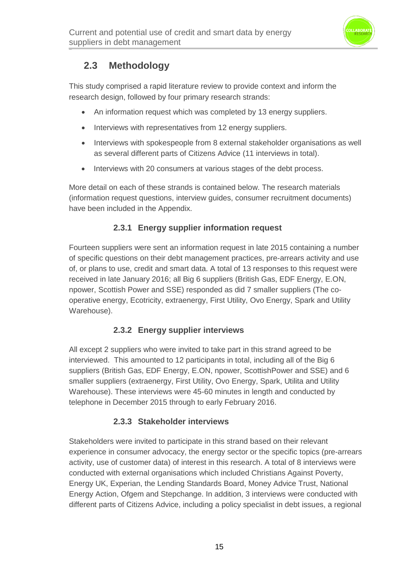

## **2.3 Methodology**

This study comprised a rapid literature review to provide context and inform the research design, followed by four primary research strands:

- An information request which was completed by 13 energy suppliers.
- Interviews with representatives from 12 energy suppliers.
- Interviews with spokespeople from 8 external stakeholder organisations as well as several different parts of Citizens Advice (11 interviews in total).
- Interviews with 20 consumers at various stages of the debt process.

More detail on each of these strands is contained below. The research materials (information request questions, interview guides, consumer recruitment documents) have been included in the Appendix.

#### **2.3.1 Energy supplier information request**

Fourteen suppliers were sent an information request in late 2015 containing a number of specific questions on their debt management practices, pre-arrears activity and use of, or plans to use, credit and smart data. A total of 13 responses to this request were received in late January 2016; all Big 6 suppliers (British Gas, EDF Energy, E.ON, npower, Scottish Power and SSE) responded as did 7 smaller suppliers (The cooperative energy, Ecotricity, extraenergy, First Utility, Ovo Energy, Spark and Utility Warehouse).

#### **2.3.2 Energy supplier interviews**

All except 2 suppliers who were invited to take part in this strand agreed to be interviewed. This amounted to 12 participants in total, including all of the Big 6 suppliers (British Gas, EDF Energy, E.ON, npower, ScottishPower and SSE) and 6 smaller suppliers (extraenergy, First Utility, Ovo Energy, Spark, Utilita and Utility Warehouse). These interviews were 45-60 minutes in length and conducted by telephone in December 2015 through to early February 2016.

#### **2.3.3 Stakeholder interviews**

Stakeholders were invited to participate in this strand based on their relevant experience in consumer advocacy, the energy sector or the specific topics (pre-arrears activity, use of customer data) of interest in this research. A total of 8 interviews were conducted with external organisations which included Christians Against Poverty, Energy UK, Experian, the Lending Standards Board, Money Advice Trust, National Energy Action, Ofgem and Stepchange. In addition, 3 interviews were conducted with different parts of Citizens Advice, including a policy specialist in debt issues, a regional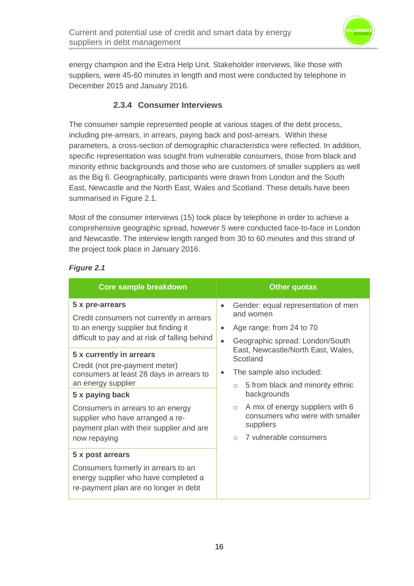

energy champion and the Extra Help Unit. Stakeholder interviews, like those with suppliers, were 45-60 minutes in length and most were conducted by telephone in December 2015 and January 2016.

#### **2.3.4 Consumer Interviews**

The consumer sample represented people at various stages of the debt process, including pre-arrears, in arrears, paying back and post-arrears. Within these parameters, a cross-section of demographic characteristics were reflected. In addition, specific representation was sought from vulnerable consumers, those from black and minority ethnic backgrounds and those who are customers of smaller suppliers as well as the Big 6. Geographically, participants were drawn from London and the South East, Newcastle and the North East, Wales and Scotland. These details have been summarised in Figure 2.1.

Most of the consumer interviews (15) took place by telephone in order to achieve a comprehensive geographic spread, however 5 were conducted face-to-face in London and Newcastle. The interview length ranged from 30 to 60 minutes and this strand of the project took place in January 2016.

| <b>Core sample breakdown</b>                                                                                                                         | <b>Other quotas</b>                                                                                                                                |  |  |
|------------------------------------------------------------------------------------------------------------------------------------------------------|----------------------------------------------------------------------------------------------------------------------------------------------------|--|--|
| 5 x pre-arrears<br>Credit consumers not currently in arrears                                                                                         | Gender: equal representation of men<br>$\bullet$<br>and women                                                                                      |  |  |
| to an energy supplier but finding it                                                                                                                 | Age range: from 24 to 70<br>$\bullet$                                                                                                              |  |  |
| difficult to pay and at risk of falling behind                                                                                                       | Geographic spread: London/South<br>$\bullet$                                                                                                       |  |  |
| 5 x currently in arrears                                                                                                                             | East, Newcastle/North East, Wales,<br>Scotland                                                                                                     |  |  |
| Credit (not pre-payment meter)<br>consumers at least 28 days in arrears to                                                                           | The sample also included:                                                                                                                          |  |  |
| an energy supplier                                                                                                                                   | 5 from black and minority ethnic<br>$\circ$                                                                                                        |  |  |
| 5 x paying back<br>Consumers in arrears to an energy<br>supplier who have arranged a re-<br>payment plan with their supplier and are<br>now repaying | backgrounds<br>A mix of energy suppliers with 6<br>$\circ$<br>consumers who were with smaller<br>suppliers<br>7 vulnerable consumers<br>$\bigcirc$ |  |  |
| 5 x post arrears                                                                                                                                     |                                                                                                                                                    |  |  |
| Consumers formerly in arrears to an<br>energy supplier who have completed a<br>re-payment plan are no longer in debt                                 |                                                                                                                                                    |  |  |

#### *Figure 2.1*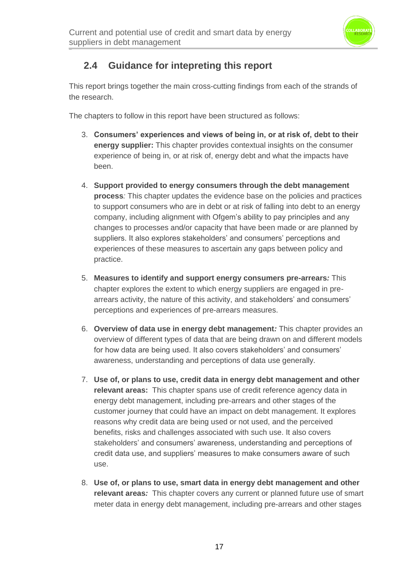

## **2.4 Guidance for intepreting this report**

This report brings together the main cross-cutting findings from each of the strands of the research.

The chapters to follow in this report have been structured as follows:

- 3. **Consumers' experiences and views of being in, or at risk of, debt to their energy supplier:** This chapter provides contextual insights on the consumer experience of being in, or at risk of, energy debt and what the impacts have been.
- 4. **Support provided to energy consumers through the debt management process***:* This chapter updates the evidence base on the policies and practices to support consumers who are in debt or at risk of falling into debt to an energy company, including alignment with Ofgem's ability to pay principles and any changes to processes and/or capacity that have been made or are planned by suppliers. It also explores stakeholders' and consumers' perceptions and experiences of these measures to ascertain any gaps between policy and practice.
- 5. **Measures to identify and support energy consumers pre-arrears***:* This chapter explores the extent to which energy suppliers are engaged in prearrears activity, the nature of this activity, and stakeholders' and consumers' perceptions and experiences of pre-arrears measures.
- 6. **Overview of data use in energy debt management***:* This chapter provides an overview of different types of data that are being drawn on and different models for how data are being used. It also covers stakeholders' and consumers' awareness, understanding and perceptions of data use generally.
- 7. **Use of, or plans to use, credit data in energy debt management and other relevant areas:** This chapter spans use of credit reference agency data in energy debt management, including pre-arrears and other stages of the customer journey that could have an impact on debt management. It explores reasons why credit data are being used or not used, and the perceived benefits, risks and challenges associated with such use. It also covers stakeholders' and consumers' awareness, understanding and perceptions of credit data use, and suppliers' measures to make consumers aware of such use.
- 8. **Use of, or plans to use, smart data in energy debt management and other relevant areas***:* This chapter covers any current or planned future use of smart meter data in energy debt management, including pre-arrears and other stages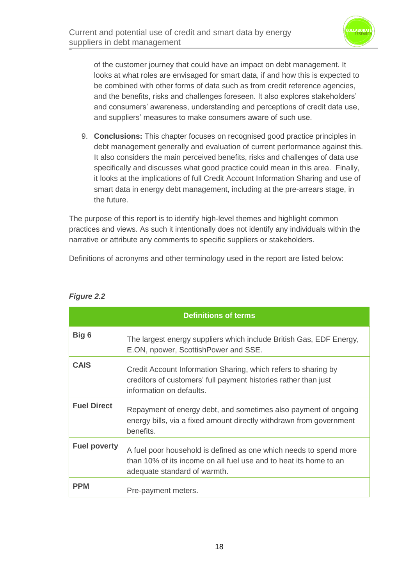

of the customer journey that could have an impact on debt management. It looks at what roles are envisaged for smart data, if and how this is expected to be combined with other forms of data such as from credit reference agencies, and the benefits, risks and challenges foreseen. It also explores stakeholders' and consumers' awareness, understanding and perceptions of credit data use, and suppliers' measures to make consumers aware of such use.

9. **Conclusions:** This chapter focuses on recognised good practice principles in debt management generally and evaluation of current performance against this. It also considers the main perceived benefits, risks and challenges of data use specifically and discusses what good practice could mean in this area. Finally, it looks at the implications of full Credit Account Information Sharing and use of smart data in energy debt management, including at the pre-arrears stage, in the future.

The purpose of this report is to identify high-level themes and highlight common practices and views. As such it intentionally does not identify any individuals within the narrative or attribute any comments to specific suppliers or stakeholders.

Definitions of acronyms and other terminology used in the report are listed below:

| <b>Definitions of terms</b> |                                                                                                                                                                        |  |
|-----------------------------|------------------------------------------------------------------------------------------------------------------------------------------------------------------------|--|
| Big 6                       | The largest energy suppliers which include British Gas, EDF Energy,<br>E.ON, npower, ScottishPower and SSE.                                                            |  |
| <b>CAIS</b>                 | Credit Account Information Sharing, which refers to sharing by<br>creditors of customers' full payment histories rather than just<br>information on defaults.          |  |
| <b>Fuel Direct</b>          | Repayment of energy debt, and sometimes also payment of ongoing<br>energy bills, via a fixed amount directly withdrawn from government<br>benefits.                    |  |
| <b>Fuel poverty</b>         | A fuel poor household is defined as one which needs to spend more<br>than 10% of its income on all fuel use and to heat its home to an<br>adequate standard of warmth. |  |
| <b>PPM</b>                  | Pre-payment meters.                                                                                                                                                    |  |

#### *Figure 2.2*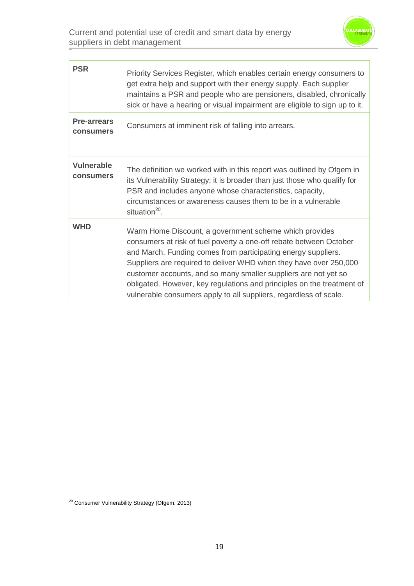

| <b>PSR</b>                      | Priority Services Register, which enables certain energy consumers to<br>get extra help and support with their energy supply. Each supplier<br>maintains a PSR and people who are pensioners, disabled, chronically<br>sick or have a hearing or visual impairment are eligible to sign up to it.                                                                                                                                                                                    |
|---------------------------------|--------------------------------------------------------------------------------------------------------------------------------------------------------------------------------------------------------------------------------------------------------------------------------------------------------------------------------------------------------------------------------------------------------------------------------------------------------------------------------------|
| <b>Pre-arrears</b><br>consumers | Consumers at imminent risk of falling into arrears.                                                                                                                                                                                                                                                                                                                                                                                                                                  |
| <b>Vulnerable</b><br>consumers  | The definition we worked with in this report was outlined by Ofgem in<br>its Vulnerability Strategy; it is broader than just those who qualify for<br>PSR and includes anyone whose characteristics, capacity,<br>circumstances or awareness causes them to be in a vulnerable<br>situation <sup>20</sup> .                                                                                                                                                                          |
| <b>WHD</b>                      | Warm Home Discount, a government scheme which provides<br>consumers at risk of fuel poverty a one-off rebate between October<br>and March. Funding comes from participating energy suppliers.<br>Suppliers are required to deliver WHD when they have over 250,000<br>customer accounts, and so many smaller suppliers are not yet so<br>obligated. However, key regulations and principles on the treatment of<br>vulnerable consumers apply to all suppliers, regardless of scale. |

<sup>&</sup>lt;sup>20</sup> Consumer Vulnerability Strategy (Ofgem, 2013)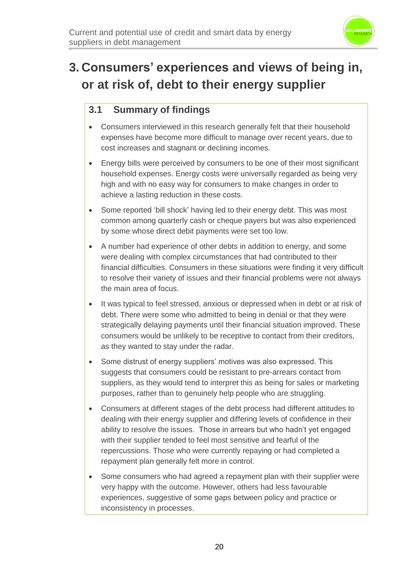

## **3. Consumers' experiences and views of being in, or at risk of, debt to their energy supplier**

## **3.1 Summary of findings**

- Consumers interviewed in this research generally felt that their household expenses have become more difficult to manage over recent years, due to cost increases and stagnant or declining incomes.
- Energy bills were perceived by consumers to be one of their most significant household expenses. Energy costs were universally regarded as being very high and with no easy way for consumers to make changes in order to achieve a lasting reduction in these costs.
- Some reported 'bill shock' having led to their energy debt. This was most common among quarterly cash or cheque payers but was also experienced by some whose direct debit payments were set too low.
- A number had experience of other debts in addition to energy, and some were dealing with complex circumstances that had contributed to their financial difficulties. Consumers in these situations were finding it very difficult to resolve their variety of issues and their financial problems were not always the main area of focus.
- It was typical to feel stressed, anxious or depressed when in debt or at risk of debt. There were some who admitted to being in denial or that they were strategically delaying payments until their financial situation improved. These consumers would be unlikely to be receptive to contact from their creditors, as they wanted to stay under the radar.
- Some distrust of energy suppliers' motives was also expressed. This suggests that consumers could be resistant to pre-arrears contact from suppliers, as they would tend to interpret this as being for sales or marketing purposes, rather than to genuinely help people who are struggling.
- Consumers at different stages of the debt process had different attitudes to dealing with their energy supplier and differing levels of confidence in their ability to resolve the issues. Those in arrears but who hadn't yet engaged with their supplier tended to feel most sensitive and fearful of the repercussions. Those who were currently repaying or had completed a repayment plan generally felt more in control.
- Some consumers who had agreed a repayment plan with their supplier were very happy with the outcome. However, others had less favourable experiences, suggestive of some gaps between policy and practice or inconsistency in processes.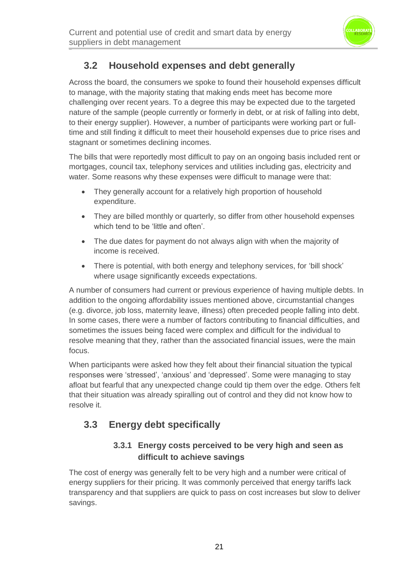

## **3.2 Household expenses and debt generally**

Across the board, the consumers we spoke to found their household expenses difficult to manage, with the majority stating that making ends meet has become more challenging over recent years. To a degree this may be expected due to the targeted nature of the sample (people currently or formerly in debt, or at risk of falling into debt, to their energy supplier). However, a number of participants were working part or fulltime and still finding it difficult to meet their household expenses due to price rises and stagnant or sometimes declining incomes.

The bills that were reportedly most difficult to pay on an ongoing basis included rent or mortgages, council tax, telephony services and utilities including gas, electricity and water. Some reasons why these expenses were difficult to manage were that:

- They generally account for a relatively high proportion of household expenditure.
- They are billed monthly or quarterly, so differ from other household expenses which tend to be 'little and often'.
- The due dates for payment do not always align with when the majority of income is received.
- There is potential, with both energy and telephony services, for 'bill shock' where usage significantly exceeds expectations.

A number of consumers had current or previous experience of having multiple debts. In addition to the ongoing affordability issues mentioned above, circumstantial changes (e.g. divorce, job loss, maternity leave, illness) often preceded people falling into debt. In some cases, there were a number of factors contributing to financial difficulties, and sometimes the issues being faced were complex and difficult for the individual to resolve meaning that they, rather than the associated financial issues, were the main focus.

When participants were asked how they felt about their financial situation the typical responses were 'stressed', 'anxious' and 'depressed'. Some were managing to stay afloat but fearful that any unexpected change could tip them over the edge. Others felt that their situation was already spiralling out of control and they did not know how to resolve it.

## **3.3 Energy debt specifically**

#### **3.3.1 Energy costs perceived to be very high and seen as difficult to achieve savings**

The cost of energy was generally felt to be very high and a number were critical of energy suppliers for their pricing. It was commonly perceived that energy tariffs lack transparency and that suppliers are quick to pass on cost increases but slow to deliver savings.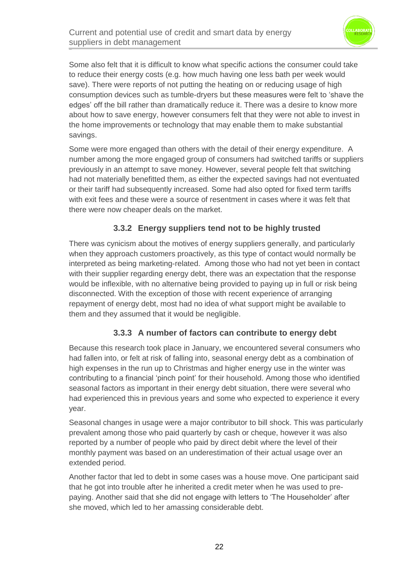

Some also felt that it is difficult to know what specific actions the consumer could take to reduce their energy costs (e.g. how much having one less bath per week would save). There were reports of not putting the heating on or reducing usage of high consumption devices such as tumble-dryers but these measures were felt to 'shave the edges' off the bill rather than dramatically reduce it. There was a desire to know more about how to save energy, however consumers felt that they were not able to invest in the home improvements or technology that may enable them to make substantial savings.

Some were more engaged than others with the detail of their energy expenditure. A number among the more engaged group of consumers had switched tariffs or suppliers previously in an attempt to save money. However, several people felt that switching had not materially benefitted them, as either the expected savings had not eventuated or their tariff had subsequently increased. Some had also opted for fixed term tariffs with exit fees and these were a source of resentment in cases where it was felt that there were now cheaper deals on the market.

#### **3.3.2 Energy suppliers tend not to be highly trusted**

There was cynicism about the motives of energy suppliers generally, and particularly when they approach customers proactively, as this type of contact would normally be interpreted as being marketing-related. Among those who had not yet been in contact with their supplier regarding energy debt, there was an expectation that the response would be inflexible, with no alternative being provided to paying up in full or risk being disconnected. With the exception of those with recent experience of arranging repayment of energy debt, most had no idea of what support might be available to them and they assumed that it would be negligible.

#### **3.3.3 A number of factors can contribute to energy debt**

Because this research took place in January, we encountered several consumers who had fallen into, or felt at risk of falling into, seasonal energy debt as a combination of high expenses in the run up to Christmas and higher energy use in the winter was contributing to a financial 'pinch point' for their household. Among those who identified seasonal factors as important in their energy debt situation, there were several who had experienced this in previous years and some who expected to experience it every year.

Seasonal changes in usage were a major contributor to bill shock. This was particularly prevalent among those who paid quarterly by cash or cheque, however it was also reported by a number of people who paid by direct debit where the level of their monthly payment was based on an underestimation of their actual usage over an extended period.

Another factor that led to debt in some cases was a house move. One participant said that he got into trouble after he inherited a credit meter when he was used to prepaying. Another said that she did not engage with letters to 'The Householder' after she moved, which led to her amassing considerable debt.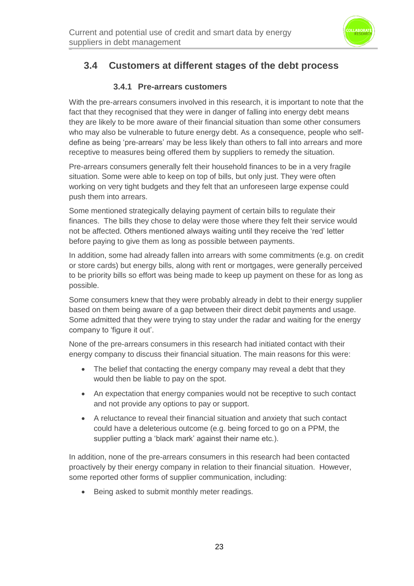

## **3.4 Customers at different stages of the debt process**

#### **3.4.1 Pre-arrears customers**

With the pre-arrears consumers involved in this research, it is important to note that the fact that they recognised that they were in danger of falling into energy debt means they are likely to be more aware of their financial situation than some other consumers who may also be vulnerable to future energy debt. As a consequence, people who selfdefine as being 'pre-arrears' may be less likely than others to fall into arrears and more receptive to measures being offered them by suppliers to remedy the situation.

Pre-arrears consumers generally felt their household finances to be in a very fragile situation. Some were able to keep on top of bills, but only just. They were often working on very tight budgets and they felt that an unforeseen large expense could push them into arrears.

Some mentioned strategically delaying payment of certain bills to regulate their finances. The bills they chose to delay were those where they felt their service would not be affected. Others mentioned always waiting until they receive the 'red' letter before paying to give them as long as possible between payments.

In addition, some had already fallen into arrears with some commitments (e.g. on credit or store cards) but energy bills, along with rent or mortgages, were generally perceived to be priority bills so effort was being made to keep up payment on these for as long as possible.

Some consumers knew that they were probably already in debt to their energy supplier based on them being aware of a gap between their direct debit payments and usage. Some admitted that they were trying to stay under the radar and waiting for the energy company to 'figure it out'.

None of the pre-arrears consumers in this research had initiated contact with their energy company to discuss their financial situation. The main reasons for this were:

- The belief that contacting the energy company may reveal a debt that they would then be liable to pay on the spot.
- An expectation that energy companies would not be receptive to such contact and not provide any options to pay or support.
- A reluctance to reveal their financial situation and anxiety that such contact could have a deleterious outcome (e.g. being forced to go on a PPM, the supplier putting a 'black mark' against their name etc.).

In addition, none of the pre-arrears consumers in this research had been contacted proactively by their energy company in relation to their financial situation. However, some reported other forms of supplier communication, including:

• Being asked to submit monthly meter readings.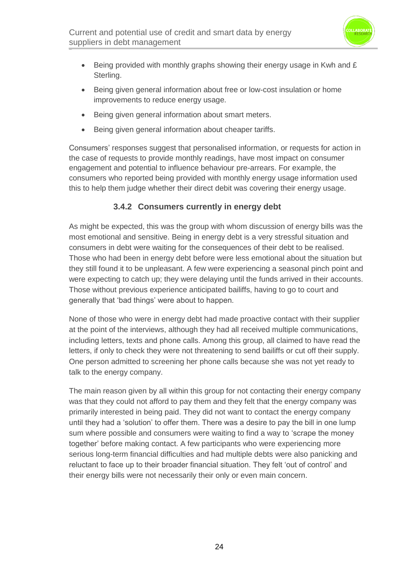

- Being provided with monthly graphs showing their energy usage in Kwh and  $E$ Sterling.
- Being given general information about free or low-cost insulation or home improvements to reduce energy usage.
- Being given general information about smart meters.
- Being given general information about cheaper tariffs.

Consumers' responses suggest that personalised information, or requests for action in the case of requests to provide monthly readings, have most impact on consumer engagement and potential to influence behaviour pre-arrears. For example, the consumers who reported being provided with monthly energy usage information used this to help them judge whether their direct debit was covering their energy usage.

#### **3.4.2 Consumers currently in energy debt**

As might be expected, this was the group with whom discussion of energy bills was the most emotional and sensitive. Being in energy debt is a very stressful situation and consumers in debt were waiting for the consequences of their debt to be realised. Those who had been in energy debt before were less emotional about the situation but they still found it to be unpleasant. A few were experiencing a seasonal pinch point and were expecting to catch up; they were delaying until the funds arrived in their accounts. Those without previous experience anticipated bailiffs, having to go to court and generally that 'bad things' were about to happen.

None of those who were in energy debt had made proactive contact with their supplier at the point of the interviews, although they had all received multiple communications, including letters, texts and phone calls. Among this group, all claimed to have read the letters, if only to check they were not threatening to send bailiffs or cut off their supply. One person admitted to screening her phone calls because she was not yet ready to talk to the energy company.

The main reason given by all within this group for not contacting their energy company was that they could not afford to pay them and they felt that the energy company was primarily interested in being paid. They did not want to contact the energy company until they had a 'solution' to offer them. There was a desire to pay the bill in one lump sum where possible and consumers were waiting to find a way to 'scrape the money together' before making contact. A few participants who were experiencing more serious long-term financial difficulties and had multiple debts were also panicking and reluctant to face up to their broader financial situation. They felt 'out of control' and their energy bills were not necessarily their only or even main concern.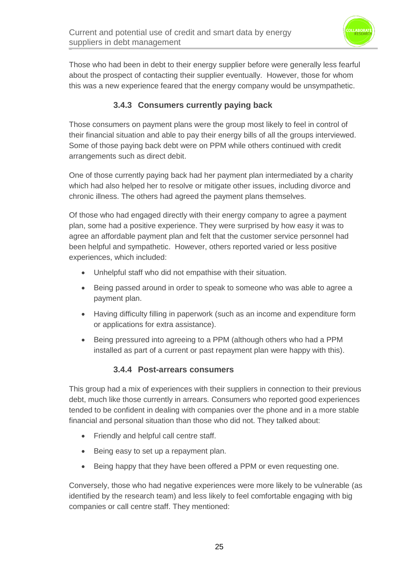

Those who had been in debt to their energy supplier before were generally less fearful about the prospect of contacting their supplier eventually. However, those for whom this was a new experience feared that the energy company would be unsympathetic.

#### **3.4.3 Consumers currently paying back**

Those consumers on payment plans were the group most likely to feel in control of their financial situation and able to pay their energy bills of all the groups interviewed. Some of those paying back debt were on PPM while others continued with credit arrangements such as direct debit.

One of those currently paying back had her payment plan intermediated by a charity which had also helped her to resolve or mitigate other issues, including divorce and chronic illness. The others had agreed the payment plans themselves.

Of those who had engaged directly with their energy company to agree a payment plan, some had a positive experience. They were surprised by how easy it was to agree an affordable payment plan and felt that the customer service personnel had been helpful and sympathetic. However, others reported varied or less positive experiences, which included:

- Unhelpful staff who did not empathise with their situation.
- Being passed around in order to speak to someone who was able to agree a payment plan.
- Having difficulty filling in paperwork (such as an income and expenditure form or applications for extra assistance).
- Being pressured into agreeing to a PPM (although others who had a PPM installed as part of a current or past repayment plan were happy with this).

#### **3.4.4 Post-arrears consumers**

This group had a mix of experiences with their suppliers in connection to their previous debt, much like those currently in arrears. Consumers who reported good experiences tended to be confident in dealing with companies over the phone and in a more stable financial and personal situation than those who did not. They talked about:

- Friendly and helpful call centre staff.
- Being easy to set up a repayment plan.
- Being happy that they have been offered a PPM or even requesting one.

Conversely, those who had negative experiences were more likely to be vulnerable (as identified by the research team) and less likely to feel comfortable engaging with big companies or call centre staff. They mentioned: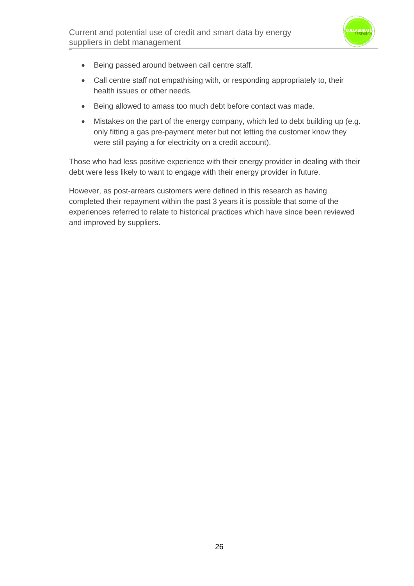

- Being passed around between call centre staff.
- Call centre staff not empathising with, or responding appropriately to, their health issues or other needs.
- Being allowed to amass too much debt before contact was made.
- Mistakes on the part of the energy company, which led to debt building up (e.g. only fitting a gas pre-payment meter but not letting the customer know they were still paying a for electricity on a credit account).

Those who had less positive experience with their energy provider in dealing with their debt were less likely to want to engage with their energy provider in future.

However, as post-arrears customers were defined in this research as having completed their repayment within the past 3 years it is possible that some of the experiences referred to relate to historical practices which have since been reviewed and improved by suppliers.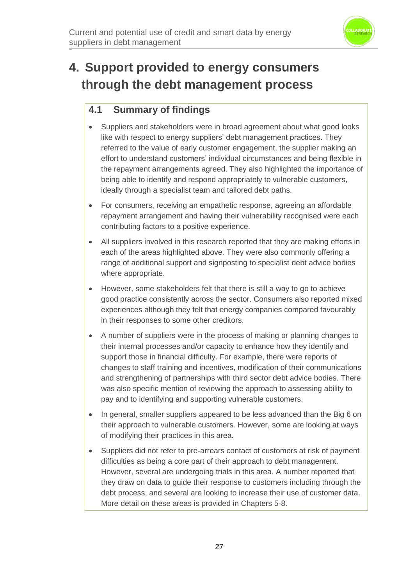

## **4. Support provided to energy consumers through the debt management process**

## **4.1 Summary of findings**

- Suppliers and stakeholders were in broad agreement about what good looks like with respect to energy suppliers' debt management practices. They referred to the value of early customer engagement, the supplier making an effort to understand customers' individual circumstances and being flexible in the repayment arrangements agreed. They also highlighted the importance of being able to identify and respond appropriately to vulnerable customers, ideally through a specialist team and tailored debt paths.
- For consumers, receiving an empathetic response, agreeing an affordable repayment arrangement and having their vulnerability recognised were each contributing factors to a positive experience.
- All suppliers involved in this research reported that they are making efforts in each of the areas highlighted above. They were also commonly offering a range of additional support and signposting to specialist debt advice bodies where appropriate.
- However, some stakeholders felt that there is still a way to go to achieve good practice consistently across the sector. Consumers also reported mixed experiences although they felt that energy companies compared favourably in their responses to some other creditors.
- A number of suppliers were in the process of making or planning changes to their internal processes and/or capacity to enhance how they identify and support those in financial difficulty. For example, there were reports of changes to staff training and incentives, modification of their communications and strengthening of partnerships with third sector debt advice bodies. There was also specific mention of reviewing the approach to assessing ability to pay and to identifying and supporting vulnerable customers.
- In general, smaller suppliers appeared to be less advanced than the Big 6 on their approach to vulnerable customers. However, some are looking at ways of modifying their practices in this area.
- Suppliers did not refer to pre-arrears contact of customers at risk of payment difficulties as being a core part of their approach to debt management. However, several are undergoing trials in this area. A number reported that they draw on data to guide their response to customers including through the debt process, and several are looking to increase their use of customer data. More detail on these areas is provided in Chapters 5-8.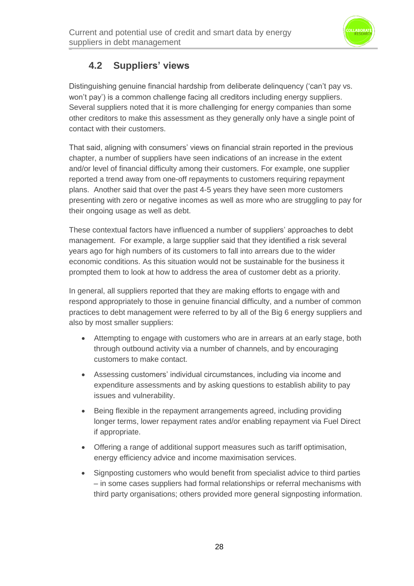

### **4.2 Suppliers' views**

Distinguishing genuine financial hardship from deliberate delinquency ('can't pay vs. won't pay') is a common challenge facing all creditors including energy suppliers. Several suppliers noted that it is more challenging for energy companies than some other creditors to make this assessment as they generally only have a single point of contact with their customers.

That said, aligning with consumers' views on financial strain reported in the previous chapter, a number of suppliers have seen indications of an increase in the extent and/or level of financial difficulty among their customers. For example, one supplier reported a trend away from one-off repayments to customers requiring repayment plans. Another said that over the past 4-5 years they have seen more customers presenting with zero or negative incomes as well as more who are struggling to pay for their ongoing usage as well as debt.

These contextual factors have influenced a number of suppliers' approaches to debt management. For example, a large supplier said that they identified a risk several years ago for high numbers of its customers to fall into arrears due to the wider economic conditions. As this situation would not be sustainable for the business it prompted them to look at how to address the area of customer debt as a priority.

In general, all suppliers reported that they are making efforts to engage with and respond appropriately to those in genuine financial difficulty, and a number of common practices to debt management were referred to by all of the Big 6 energy suppliers and also by most smaller suppliers:

- Attempting to engage with customers who are in arrears at an early stage, both through outbound activity via a number of channels, and by encouraging customers to make contact.
- Assessing customers' individual circumstances, including via income and expenditure assessments and by asking questions to establish ability to pay issues and vulnerability.
- Being flexible in the repayment arrangements agreed, including providing longer terms, lower repayment rates and/or enabling repayment via Fuel Direct if appropriate.
- Offering a range of additional support measures such as tariff optimisation, energy efficiency advice and income maximisation services.
- Signposting customers who would benefit from specialist advice to third parties – in some cases suppliers had formal relationships or referral mechanisms with third party organisations; others provided more general signposting information.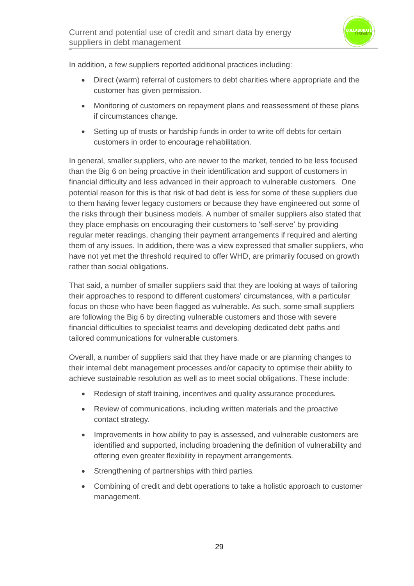

In addition, a few suppliers reported additional practices including:

- Direct (warm) referral of customers to debt charities where appropriate and the customer has given permission.
- Monitoring of customers on repayment plans and reassessment of these plans if circumstances change*.*
- Setting up of trusts or hardship funds in order to write off debts for certain customers in order to encourage rehabilitation.

In general, smaller suppliers, who are newer to the market, tended to be less focused than the Big 6 on being proactive in their identification and support of customers in financial difficulty and less advanced in their approach to vulnerable customers. One potential reason for this is that risk of bad debt is less for some of these suppliers due to them having fewer legacy customers or because they have engineered out some of the risks through their business models. A number of smaller suppliers also stated that they place emphasis on encouraging their customers to 'self-serve' by providing regular meter readings, changing their payment arrangements if required and alerting them of any issues. In addition, there was a view expressed that smaller suppliers, who have not yet met the threshold required to offer WHD, are primarily focused on growth rather than social obligations.

That said, a number of smaller suppliers said that they are looking at ways of tailoring their approaches to respond to different customers' circumstances, with a particular focus on those who have been flagged as vulnerable. As such, some small suppliers are following the Big 6 by directing vulnerable customers and those with severe financial difficulties to specialist teams and developing dedicated debt paths and tailored communications for vulnerable customers*.*

Overall, a number of suppliers said that they have made or are planning changes to their internal debt management processes and/or capacity to optimise their ability to achieve sustainable resolution as well as to meet social obligations. These include:

- Redesign of staff training, incentives and quality assurance procedures*.*
- Review of communications, including written materials and the proactive contact strategy*.*
- Improvements in how ability to pay is assessed, and vulnerable customers are identified and supported, including broadening the definition of vulnerability and offering even greater flexibility in repayment arrangements*.*
- Strengthening of partnerships with third parties*.*
- Combining of credit and debt operations to take a holistic approach to customer management*.*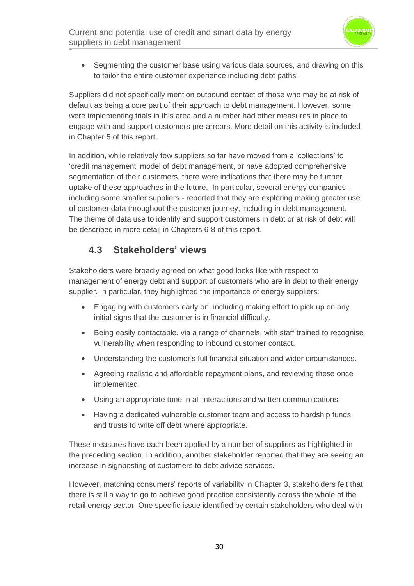

• Segmenting the customer base using various data sources, and drawing on this to tailor the entire customer experience including debt paths*.*

Suppliers did not specifically mention outbound contact of those who may be at risk of default as being a core part of their approach to debt management. However, some were implementing trials in this area and a number had other measures in place to engage with and support customers pre-arrears. More detail on this activity is included in Chapter 5 of this report.

In addition, while relatively few suppliers so far have moved from a 'collections' to 'credit management' model of debt management, or have adopted comprehensive segmentation of their customers, there were indications that there may be further uptake of these approaches in the future. In particular, several energy companies – including some smaller suppliers - reported that they are exploring making greater use of customer data throughout the customer journey, including in debt management*.* The theme of data use to identify and support customers in debt or at risk of debt will be described in more detail in Chapters 6-8 of this report.

## **4.3 Stakeholders' views**

Stakeholders were broadly agreed on what good looks like with respect to management of energy debt and support of customers who are in debt to their energy supplier. In particular, they highlighted the importance of energy suppliers:

- Engaging with customers early on, including making effort to pick up on any initial signs that the customer is in financial difficulty.
- Being easily contactable, via a range of channels, with staff trained to recognise vulnerability when responding to inbound customer contact.
- Understanding the customer's full financial situation and wider circumstances.
- Agreeing realistic and affordable repayment plans, and reviewing these once implemented.
- Using an appropriate tone in all interactions and written communications.
- Having a dedicated vulnerable customer team and access to hardship funds and trusts to write off debt where appropriate.

These measures have each been applied by a number of suppliers as highlighted in the preceding section. In addition, another stakeholder reported that they are seeing an increase in signposting of customers to debt advice services.

However, matching consumers' reports of variability in Chapter 3, stakeholders felt that there is still a way to go to achieve good practice consistently across the whole of the retail energy sector. One specific issue identified by certain stakeholders who deal with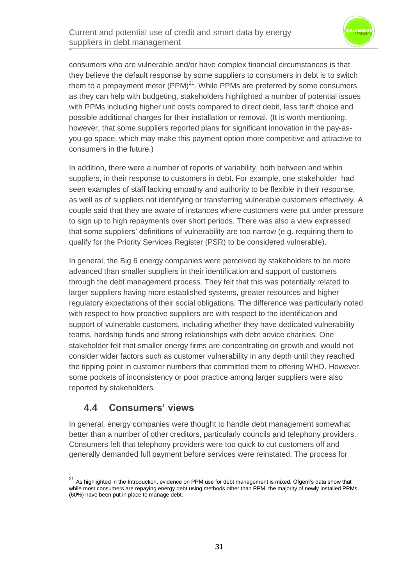

consumers who are vulnerable and/or have complex financial circumstances is that they believe the default response by some suppliers to consumers in debt is to switch them to a prepayment meter  $(PPM)^{21}$ . While PPMs are preferred by some consumers as they can help with budgeting, stakeholders highlighted a number of potential issues with PPMs including higher unit costs compared to direct debit, less tariff choice and possible additional charges for their installation or removal. (It is worth mentioning, however, that some suppliers reported plans for significant innovation in the pay-asyou-go space, which may make this payment option more competitive and attractive to consumers in the future.)

In addition, there were a number of reports of variability, both between and within suppliers, in their response to customers in debt. For example, one stakeholder had seen examples of staff lacking empathy and authority to be flexible in their response, as well as of suppliers not identifying or transferring vulnerable customers effectively. A couple said that they are aware of instances where customers were put under pressure to sign up to high repayments over short periods. There was also a view expressed that some suppliers' definitions of vulnerability are too narrow (e.g. requiring them to qualify for the Priority Services Register (PSR) to be considered vulnerable).

In general, the Big 6 energy companies were perceived by stakeholders to be more advanced than smaller suppliers in their identification and support of customers through the debt management process. They felt that this was potentially related to larger suppliers having more established systems, greater resources and higher regulatory expectations of their social obligations. The difference was particularly noted with respect to how proactive suppliers are with respect to the identification and support of vulnerable customers, including whether they have dedicated vulnerability teams, hardship funds and strong relationships with debt advice charities*.* One stakeholder felt that smaller energy firms are concentrating on growth and would not consider wider factors such as customer vulnerability in any depth until they reached the tipping point in customer numbers that committed them to offering WHD. However, some pockets of inconsistency or poor practice among larger suppliers were also reported by stakeholders*.*

### **4.4 Consumers' views**

In general, energy companies were thought to handle debt management somewhat better than a number of other creditors, particularly councils and telephony providers. Consumers felt that telephony providers were too quick to cut customers off and generally demanded full payment before services were reinstated. The process for

<sup>&</sup>lt;sup>21</sup> As highlighted in the Introduction, evidence on PPM use for debt management is mixed. Ofgem's data show that while most consumers are repaying energy debt using methods other than PPM, the majority of newly installed PPMs (60%) have been put in place to manage debt.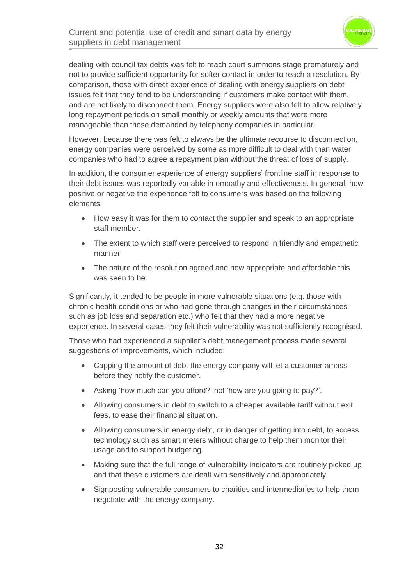

dealing with council tax debts was felt to reach court summons stage prematurely and not to provide sufficient opportunity for softer contact in order to reach a resolution. By comparison, those with direct experience of dealing with energy suppliers on debt issues felt that they tend to be understanding if customers make contact with them, and are not likely to disconnect them. Energy suppliers were also felt to allow relatively long repayment periods on small monthly or weekly amounts that were more manageable than those demanded by telephony companies in particular.

However, because there was felt to always be the ultimate recourse to disconnection, energy companies were perceived by some as more difficult to deal with than water companies who had to agree a repayment plan without the threat of loss of supply.

In addition, the consumer experience of energy suppliers' frontline staff in response to their debt issues was reportedly variable in empathy and effectiveness. In general, how positive or negative the experience felt to consumers was based on the following elements:

- How easy it was for them to contact the supplier and speak to an appropriate staff member.
- The extent to which staff were perceived to respond in friendly and empathetic manner.
- The nature of the resolution agreed and how appropriate and affordable this was seen to be.

Significantly, it tended to be people in more vulnerable situations (e.g. those with chronic health conditions or who had gone through changes in their circumstances such as job loss and separation etc.) who felt that they had a more negative experience. In several cases they felt their vulnerability was not sufficiently recognised.

Those who had experienced a supplier's debt management process made several suggestions of improvements, which included:

- Capping the amount of debt the energy company will let a customer amass before they notify the customer.
- Asking 'how much can you afford?' not 'how are you going to pay?'.
- Allowing consumers in debt to switch to a cheaper available tariff without exit fees, to ease their financial situation.
- Allowing consumers in energy debt, or in danger of getting into debt, to access technology such as smart meters without charge to help them monitor their usage and to support budgeting.
- Making sure that the full range of vulnerability indicators are routinely picked up and that these customers are dealt with sensitively and appropriately.
- Signposting vulnerable consumers to charities and intermediaries to help them negotiate with the energy company.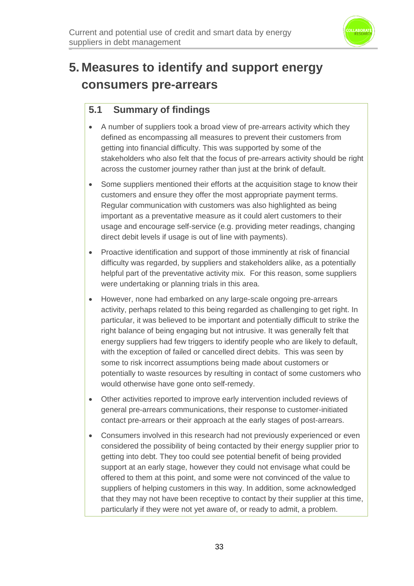

## **5. Measures to identify and support energy consumers pre-arrears**

## **5.1 Summary of findings**

- A number of suppliers took a broad view of pre-arrears activity which they defined as encompassing all measures to prevent their customers from getting into financial difficulty. This was supported by some of the stakeholders who also felt that the focus of pre-arrears activity should be right across the customer journey rather than just at the brink of default.
- Some suppliers mentioned their efforts at the acquisition stage to know their customers and ensure they offer the most appropriate payment terms. Regular communication with customers was also highlighted as being important as a preventative measure as it could alert customers to their usage and encourage self-service (e.g. providing meter readings, changing direct debit levels if usage is out of line with payments).
- Proactive identification and support of those imminently at risk of financial difficulty was regarded, by suppliers and stakeholders alike, as a potentially helpful part of the preventative activity mix. For this reason, some suppliers were undertaking or planning trials in this area.
- However, none had embarked on any large-scale ongoing pre-arrears activity, perhaps related to this being regarded as challenging to get right. In particular, it was believed to be important and potentially difficult to strike the right balance of being engaging but not intrusive. It was generally felt that energy suppliers had few triggers to identify people who are likely to default, with the exception of failed or cancelled direct debits. This was seen by some to risk incorrect assumptions being made about customers or potentially to waste resources by resulting in contact of some customers who would otherwise have gone onto self-remedy.
- Other activities reported to improve early intervention included reviews of general pre-arrears communications, their response to customer-initiated contact pre-arrears or their approach at the early stages of post-arrears.
- Consumers involved in this research had not previously experienced or even considered the possibility of being contacted by their energy supplier prior to getting into debt. They too could see potential benefit of being provided support at an early stage, however they could not envisage what could be offered to them at this point, and some were not convinced of the value to suppliers of helping customers in this way. In addition, some acknowledged that they may not have been receptive to contact by their supplier at this time, particularly if they were not yet aware of, or ready to admit, a problem.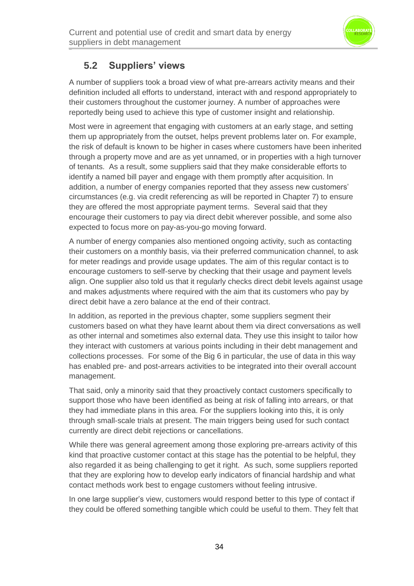

## **5.2 Suppliers' views**

A number of suppliers took a broad view of what pre-arrears activity means and their definition included all efforts to understand, interact with and respond appropriately to their customers throughout the customer journey. A number of approaches were reportedly being used to achieve this type of customer insight and relationship.

Most were in agreement that engaging with customers at an early stage, and setting them up appropriately from the outset, helps prevent problems later on. For example, the risk of default is known to be higher in cases where customers have been inherited through a property move and are as yet unnamed, or in properties with a high turnover of tenants. As a result, some suppliers said that they make considerable efforts to identify a named bill payer and engage with them promptly after acquisition. In addition, a number of energy companies reported that they assess new customers' circumstances (e.g. via credit referencing as will be reported in Chapter 7) to ensure they are offered the most appropriate payment terms. Several said that they encourage their customers to pay via direct debit wherever possible, and some also expected to focus more on pay-as-you-go moving forward.

A number of energy companies also mentioned ongoing activity, such as contacting their customers on a monthly basis, via their preferred communication channel, to ask for meter readings and provide usage updates. The aim of this regular contact is to encourage customers to self-serve by checking that their usage and payment levels align. One supplier also told us that it regularly checks direct debit levels against usage and makes adjustments where required with the aim that its customers who pay by direct debit have a zero balance at the end of their contract.

In addition, as reported in the previous chapter, some suppliers segment their customers based on what they have learnt about them via direct conversations as well as other internal and sometimes also external data. They use this insight to tailor how they interact with customers at various points including in their debt management and collections processes. For some of the Big 6 in particular, the use of data in this way has enabled pre- and post-arrears activities to be integrated into their overall account management.

That said, only a minority said that they proactively contact customers specifically to support those who have been identified as being at risk of falling into arrears, or that they had immediate plans in this area. For the suppliers looking into this, it is only through small-scale trials at present. The main triggers being used for such contact currently are direct debit rejections or cancellations.

While there was general agreement among those exploring pre-arrears activity of this kind that proactive customer contact at this stage has the potential to be helpful, they also regarded it as being challenging to get it right. As such, some suppliers reported that they are exploring how to develop early indicators of financial hardship and what contact methods work best to engage customers without feeling intrusive.

In one large supplier's view, customers would respond better to this type of contact if they could be offered something tangible which could be useful to them. They felt that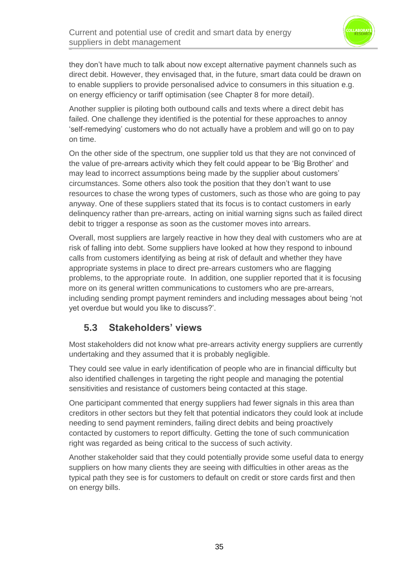

they don't have much to talk about now except alternative payment channels such as direct debit. However, they envisaged that, in the future, smart data could be drawn on to enable suppliers to provide personalised advice to consumers in this situation e.g. on energy efficiency or tariff optimisation (see Chapter 8 for more detail).

Another supplier is piloting both outbound calls and texts where a direct debit has failed. One challenge they identified is the potential for these approaches to annoy 'self-remedying' customers who do not actually have a problem and will go on to pay on time.

On the other side of the spectrum, one supplier told us that they are not convinced of the value of pre-arrears activity which they felt could appear to be 'Big Brother' and may lead to incorrect assumptions being made by the supplier about customers' circumstances. Some others also took the position that they don't want to use resources to chase the wrong types of customers, such as those who are going to pay anyway. One of these suppliers stated that its focus is to contact customers in early delinquency rather than pre-arrears, acting on initial warning signs such as failed direct debit to trigger a response as soon as the customer moves into arrears.

Overall, most suppliers are largely reactive in how they deal with customers who are at risk of falling into debt. Some suppliers have looked at how they respond to inbound calls from customers identifying as being at risk of default and whether they have appropriate systems in place to direct pre-arrears customers who are flagging problems, to the appropriate route. In addition, one supplier reported that it is focusing more on its general written communications to customers who are pre-arrears, including sending prompt payment reminders and including messages about being 'not yet overdue but would you like to discuss?'.

### **5.3 Stakeholders' views**

Most stakeholders did not know what pre-arrears activity energy suppliers are currently undertaking and they assumed that it is probably negligible.

They could see value in early identification of people who are in financial difficulty but also identified challenges in targeting the right people and managing the potential sensitivities and resistance of customers being contacted at this stage.

One participant commented that energy suppliers had fewer signals in this area than creditors in other sectors but they felt that potential indicators they could look at include needing to send payment reminders, failing direct debits and being proactively contacted by customers to report difficulty. Getting the tone of such communication right was regarded as being critical to the success of such activity.

Another stakeholder said that they could potentially provide some useful data to energy suppliers on how many clients they are seeing with difficulties in other areas as the typical path they see is for customers to default on credit or store cards first and then on energy bills.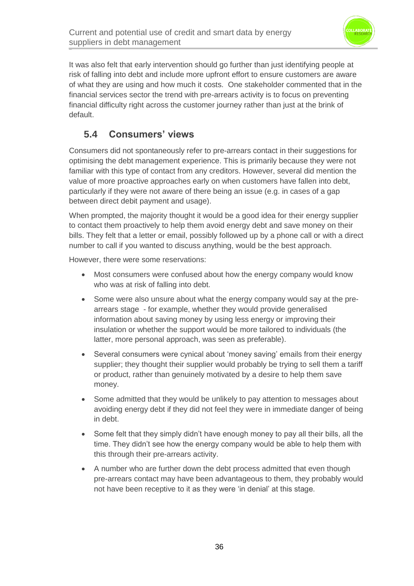

It was also felt that early intervention should go further than just identifying people at risk of falling into debt and include more upfront effort to ensure customers are aware of what they are using and how much it costs. One stakeholder commented that in the financial services sector the trend with pre-arrears activity is to focus on preventing financial difficulty right across the customer journey rather than just at the brink of default.

## **5.4 Consumers' views**

Consumers did not spontaneously refer to pre-arrears contact in their suggestions for optimising the debt management experience. This is primarily because they were not familiar with this type of contact from any creditors. However, several did mention the value of more proactive approaches early on when customers have fallen into debt, particularly if they were not aware of there being an issue (e.g. in cases of a gap between direct debit payment and usage).

When prompted, the majority thought it would be a good idea for their energy supplier to contact them proactively to help them avoid energy debt and save money on their bills. They felt that a letter or email, possibly followed up by a phone call or with a direct number to call if you wanted to discuss anything, would be the best approach.

However, there were some reservations:

- Most consumers were confused about how the energy company would know who was at risk of falling into debt.
- Some were also unsure about what the energy company would say at the prearrears stage - for example, whether they would provide generalised information about saving money by using less energy or improving their insulation or whether the support would be more tailored to individuals (the latter, more personal approach, was seen as preferable).
- Several consumers were cynical about 'money saving' emails from their energy supplier; they thought their supplier would probably be trying to sell them a tariff or product, rather than genuinely motivated by a desire to help them save money.
- Some admitted that they would be unlikely to pay attention to messages about avoiding energy debt if they did not feel they were in immediate danger of being in debt.
- Some felt that they simply didn't have enough money to pay all their bills, all the time. They didn't see how the energy company would be able to help them with this through their pre-arrears activity.
- A number who are further down the debt process admitted that even though pre-arrears contact may have been advantageous to them, they probably would not have been receptive to it as they were 'in denial' at this stage.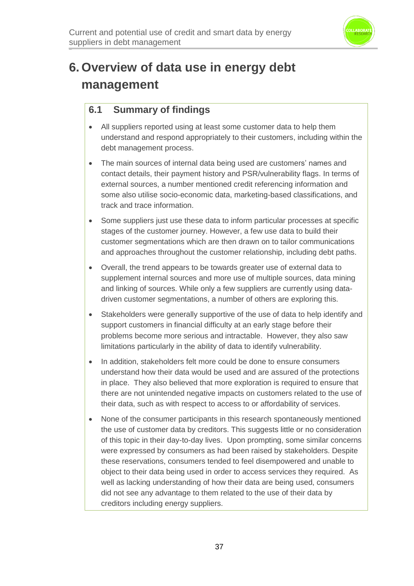

# **6. Overview of data use in energy debt management**

### **6.1 Summary of findings**

- All suppliers reported using at least some customer data to help them understand and respond appropriately to their customers, including within the debt management process.
- The main sources of internal data being used are customers' names and contact details, their payment history and PSR/vulnerability flags. In terms of external sources, a number mentioned credit referencing information and some also utilise socio-economic data, marketing-based classifications, and track and trace information.
- Some suppliers just use these data to inform particular processes at specific stages of the customer journey. However, a few use data to build their customer segmentations which are then drawn on to tailor communications and approaches throughout the customer relationship, including debt paths.
- Overall, the trend appears to be towards greater use of external data to supplement internal sources and more use of multiple sources, data mining and linking of sources. While only a few suppliers are currently using datadriven customer segmentations, a number of others are exploring this.
- Stakeholders were generally supportive of the use of data to help identify and support customers in financial difficulty at an early stage before their problems become more serious and intractable. However, they also saw limitations particularly in the ability of data to identify vulnerability.
- In addition, stakeholders felt more could be done to ensure consumers understand how their data would be used and are assured of the protections in place. They also believed that more exploration is required to ensure that there are not unintended negative impacts on customers related to the use of their data, such as with respect to access to or affordability of services.
- None of the consumer participants in this research spontaneously mentioned the use of customer data by creditors. This suggests little or no consideration of this topic in their day-to-day lives. Upon prompting, some similar concerns were expressed by consumers as had been raised by stakeholders. Despite these reservations, consumers tended to feel disempowered and unable to object to their data being used in order to access services they required. As well as lacking understanding of how their data are being used, consumers did not see any advantage to them related to the use of their data by creditors including energy suppliers.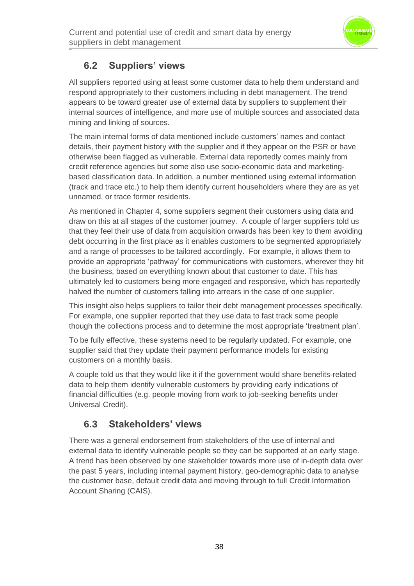

## **6.2 Suppliers' views**

All suppliers reported using at least some customer data to help them understand and respond appropriately to their customers including in debt management. The trend appears to be toward greater use of external data by suppliers to supplement their internal sources of intelligence, and more use of multiple sources and associated data mining and linking of sources.

The main internal forms of data mentioned include customers' names and contact details, their payment history with the supplier and if they appear on the PSR or have otherwise been flagged as vulnerable. External data reportedly comes mainly from credit reference agencies but some also use socio-economic data and marketingbased classification data. In addition, a number mentioned using external information (track and trace etc.) to help them identify current householders where they are as yet unnamed, or trace former residents.

As mentioned in Chapter 4, some suppliers segment their customers using data and draw on this at all stages of the customer journey. A couple of larger suppliers told us that they feel their use of data from acquisition onwards has been key to them avoiding debt occurring in the first place as it enables customers to be segmented appropriately and a range of processes to be tailored accordingly. For example, it allows them to provide an appropriate 'pathway' for communications with customers, wherever they hit the business, based on everything known about that customer to date. This has ultimately led to customers being more engaged and responsive, which has reportedly halved the number of customers falling into arrears in the case of one supplier.

This insight also helps suppliers to tailor their debt management processes specifically. For example, one supplier reported that they use data to fast track some people though the collections process and to determine the most appropriate 'treatment plan'.

To be fully effective, these systems need to be regularly updated. For example, one supplier said that they update their payment performance models for existing customers on a monthly basis.

A couple told us that they would like it if the government would share benefits-related data to help them identify vulnerable customers by providing early indications of financial difficulties (e.g. people moving from work to job-seeking benefits under Universal Credit).

## **6.3 Stakeholders' views**

There was a general endorsement from stakeholders of the use of internal and external data to identify vulnerable people so they can be supported at an early stage. A trend has been observed by one stakeholder towards more use of in-depth data over the past 5 years, including internal payment history, geo-demographic data to analyse the customer base, default credit data and moving through to full Credit Information Account Sharing (CAIS).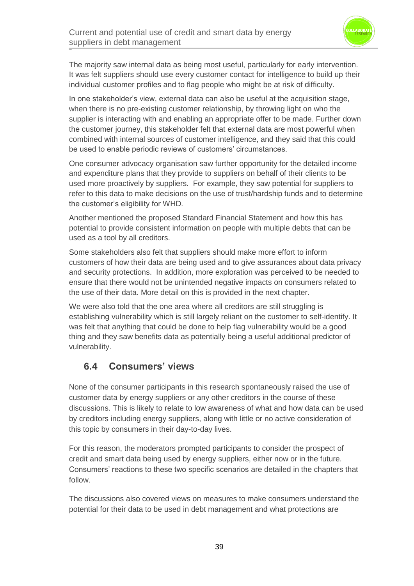

The majority saw internal data as being most useful, particularly for early intervention. It was felt suppliers should use every customer contact for intelligence to build up their individual customer profiles and to flag people who might be at risk of difficulty.

In one stakeholder's view, external data can also be useful at the acquisition stage, when there is no pre-existing customer relationship, by throwing light on who the supplier is interacting with and enabling an appropriate offer to be made. Further down the customer journey, this stakeholder felt that external data are most powerful when combined with internal sources of customer intelligence, and they said that this could be used to enable periodic reviews of customers' circumstances.

One consumer advocacy organisation saw further opportunity for the detailed income and expenditure plans that they provide to suppliers on behalf of their clients to be used more proactively by suppliers. For example, they saw potential for suppliers to refer to this data to make decisions on the use of trust/hardship funds and to determine the customer's eligibility for WHD.

Another mentioned the proposed Standard Financial Statement and how this has potential to provide consistent information on people with multiple debts that can be used as a tool by all creditors.

Some stakeholders also felt that suppliers should make more effort to inform customers of how their data are being used and to give assurances about data privacy and security protections. In addition, more exploration was perceived to be needed to ensure that there would not be unintended negative impacts on consumers related to the use of their data. More detail on this is provided in the next chapter.

We were also told that the one area where all creditors are still struggling is establishing vulnerability which is still largely reliant on the customer to self-identify. It was felt that anything that could be done to help flag vulnerability would be a good thing and they saw benefits data as potentially being a useful additional predictor of vulnerability.

## **6.4 Consumers' views**

None of the consumer participants in this research spontaneously raised the use of customer data by energy suppliers or any other creditors in the course of these discussions. This is likely to relate to low awareness of what and how data can be used by creditors including energy suppliers, along with little or no active consideration of this topic by consumers in their day-to-day lives.

For this reason, the moderators prompted participants to consider the prospect of credit and smart data being used by energy suppliers, either now or in the future. Consumers' reactions to these two specific scenarios are detailed in the chapters that follow.

The discussions also covered views on measures to make consumers understand the potential for their data to be used in debt management and what protections are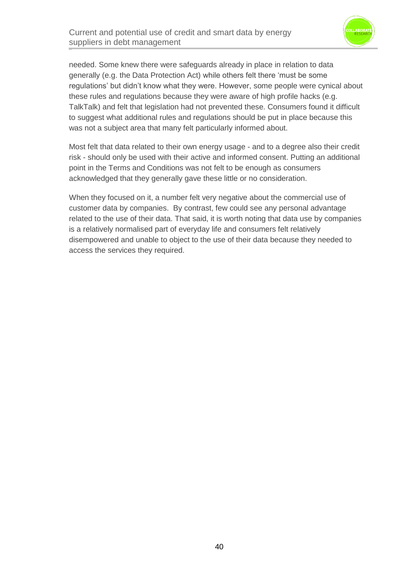

needed. Some knew there were safeguards already in place in relation to data generally (e.g. the Data Protection Act) while others felt there 'must be some regulations' but didn't know what they were. However, some people were cynical about these rules and regulations because they were aware of high profile hacks (e.g. TalkTalk) and felt that legislation had not prevented these. Consumers found it difficult to suggest what additional rules and regulations should be put in place because this was not a subject area that many felt particularly informed about.

Most felt that data related to their own energy usage - and to a degree also their credit risk - should only be used with their active and informed consent. Putting an additional point in the Terms and Conditions was not felt to be enough as consumers acknowledged that they generally gave these little or no consideration.

When they focused on it, a number felt very negative about the commercial use of customer data by companies. By contrast, few could see any personal advantage related to the use of their data. That said, it is worth noting that data use by companies is a relatively normalised part of everyday life and consumers felt relatively disempowered and unable to object to the use of their data because they needed to access the services they required.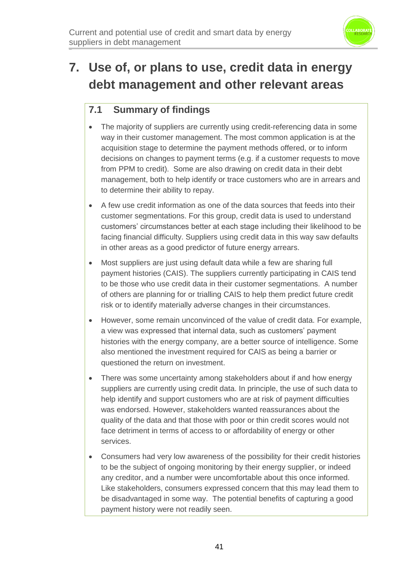

# **7. Use of, or plans to use, credit data in energy debt management and other relevant areas**

## **7.1 Summary of findings**

- The majority of suppliers are currently using credit-referencing data in some way in their customer management. The most common application is at the acquisition stage to determine the payment methods offered, or to inform decisions on changes to payment terms (e.g. if a customer requests to move from PPM to credit). Some are also drawing on credit data in their debt management, both to help identify or trace customers who are in arrears and to determine their ability to repay.
- A few use credit information as one of the data sources that feeds into their customer segmentations. For this group, credit data is used to understand customers' circumstances better at each stage including their likelihood to be facing financial difficulty. Suppliers using credit data in this way saw defaults in other areas as a good predictor of future energy arrears.
- Most suppliers are just using default data while a few are sharing full payment histories (CAIS). The suppliers currently participating in CAIS tend to be those who use credit data in their customer segmentations. A number of others are planning for or trialling CAIS to help them predict future credit risk or to identify materially adverse changes in their circumstances.
- However, some remain unconvinced of the value of credit data. For example, a view was expressed that internal data, such as customers' payment histories with the energy company, are a better source of intelligence. Some also mentioned the investment required for CAIS as being a barrier or questioned the return on investment.
- There was some uncertainty among stakeholders about if and how energy suppliers are currently using credit data. In principle, the use of such data to help identify and support customers who are at risk of payment difficulties was endorsed. However, stakeholders wanted reassurances about the quality of the data and that those with poor or thin credit scores would not face detriment in terms of access to or affordability of energy or other services.
- Consumers had very low awareness of the possibility for their credit histories to be the subject of ongoing monitoring by their energy supplier, or indeed any creditor, and a number were uncomfortable about this once informed. Like stakeholders, consumers expressed concern that this may lead them to be disadvantaged in some way. The potential benefits of capturing a good payment history were not readily seen.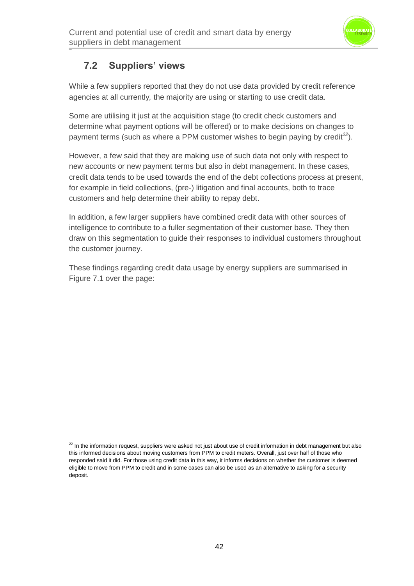

## **7.2 Suppliers' views**

While a few suppliers reported that they do not use data provided by credit reference agencies at all currently*,* the majority are using or starting to use credit data.

Some are utilising it just at the acquisition stage (to credit check customers and determine what payment options will be offered) or to make decisions on changes to payment terms (such as where a PPM customer wishes to begin paying by credit*<sup>22</sup>*)*.* 

However, a few said that they are making use of such data not only with respect to new accounts or new payment terms but also in debt management. In these cases, credit data tends to be used towards the end of the debt collections process at present, for example in field collections, (pre-) litigation and final accounts, both to trace customers and help determine their ability to repay debt.

In addition, a few larger suppliers have combined credit data with other sources of intelligence to contribute to a fuller segmentation of their customer base*.* They then draw on this segmentation to guide their responses to individual customers throughout the customer journey.

These findings regarding credit data usage by energy suppliers are summarised in Figure 7.1 over the page:

 $22$  In the information request, suppliers were asked not just about use of credit information in debt management but also this informed decisions about moving customers from PPM to credit meters. Overall, just over half of those who responded said it did. For those using credit data in this way, it informs decisions on whether the customer is deemed eligible to move from PPM to credit and in some cases can also be used as an alternative to asking for a security deposit.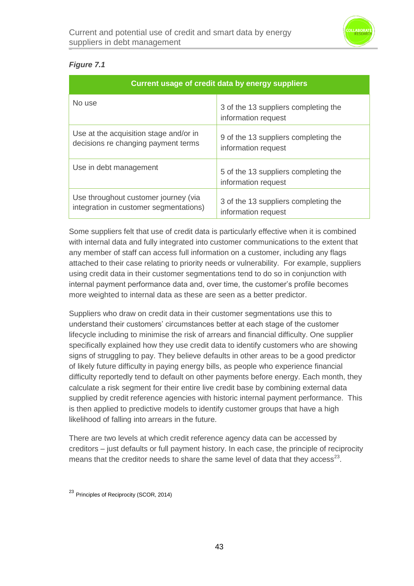

#### *Figure 7.1*

| <b>Current usage of credit data by energy suppliers</b>                        |                                                             |
|--------------------------------------------------------------------------------|-------------------------------------------------------------|
| No use                                                                         | 3 of the 13 suppliers completing the<br>information request |
| Use at the acquisition stage and/or in<br>decisions re changing payment terms  | 9 of the 13 suppliers completing the<br>information request |
| Use in debt management                                                         | 5 of the 13 suppliers completing the<br>information request |
| Use throughout customer journey (via<br>integration in customer segmentations) | 3 of the 13 suppliers completing the<br>information request |

Some suppliers felt that use of credit data is particularly effective when it is combined with internal data and fully integrated into customer communications to the extent that any member of staff can access full information on a customer, including any flags attached to their case relating to priority needs or vulnerability. For example, suppliers using credit data in their customer segmentations tend to do so in conjunction with internal payment performance data and, over time, the customer's profile becomes more weighted to internal data as these are seen as a better predictor.

Suppliers who draw on credit data in their customer segmentations use this to understand their customers' circumstances better at each stage of the customer lifecycle including to minimise the risk of arrears and financial difficulty. One supplier specifically explained how they use credit data to identify customers who are showing signs of struggling to pay. They believe defaults in other areas to be a good predictor of likely future difficulty in paying energy bills, as people who experience financial difficulty reportedly tend to default on other payments before energy. Each month, they calculate a risk segment for their entire live credit base by combining external data supplied by credit reference agencies with historic internal payment performance. This is then applied to predictive models to identify customer groups that have a high likelihood of falling into arrears in the future.

There are two levels at which credit reference agency data can be accessed by creditors – just defaults or full payment history. In each case, the principle of reciprocity means that the creditor needs to share the same level of data that they access<sup>23</sup>.

<sup>23</sup> Principles of Reciprocity (SCOR, 2014)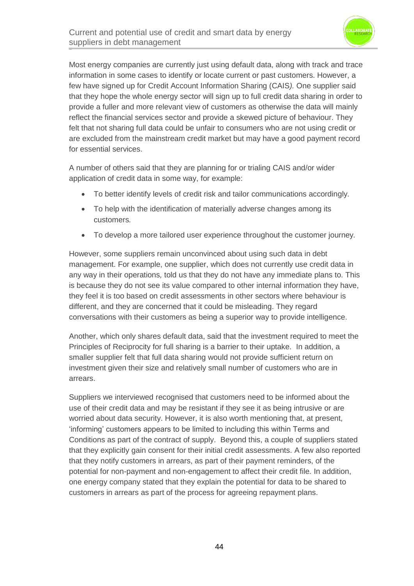

Most energy companies are currently just using default data, along with track and trace information in some cases to identify or locate current or past customers. However, a few have signed up for Credit Account Information Sharing (CAIS*).* One supplier said that they hope the whole energy sector will sign up to full credit data sharing in order to provide a fuller and more relevant view of customers as otherwise the data will mainly reflect the financial services sector and provide a skewed picture of behaviour. They felt that not sharing full data could be unfair to consumers who are not using credit or are excluded from the mainstream credit market but may have a good payment record for essential services.

A number of others said that they are planning for or trialing CAIS and/or wider application of credit data in some way, for example:

- To better identify levels of credit risk and tailor communications accordingly*.*
- To help with the identification of materially adverse changes among its customers*.*
- To develop a more tailored user experience throughout the customer journey*.*

However, some suppliers remain unconvinced about using such data in debt management. For example, one supplier, which does not currently use credit data in any way in their operations*,* told us that they do not have any immediate plans to. This is because they do not see its value compared to other internal information they have, they feel it is too based on credit assessments in other sectors where behaviour is different, and they are concerned that it could be misleading. They regard conversations with their customers as being a superior way to provide intelligence.

Another, which only shares default data, said that the investment required to meet the Principles of Reciprocity for full sharing is a barrier to their uptake. In addition, a smaller supplier felt that full data sharing would not provide sufficient return on investment given their size and relatively small number of customers who are in arrears.

Suppliers we interviewed recognised that customers need to be informed about the use of their credit data and may be resistant if they see it as being intrusive or are worried about data security. However, it is also worth mentioning that, at present, 'informing' customers appears to be limited to including this within Terms and Conditions as part of the contract of supply. Beyond this, a couple of suppliers stated that they explicitly gain consent for their initial credit assessments. A few also reported that they notify customers in arrears, as part of their payment reminders, of the potential for non-payment and non-engagement to affect their credit file*.* In addition, one energy company stated that they explain the potential for data to be shared to customers in arrears as part of the process for agreeing repayment plans.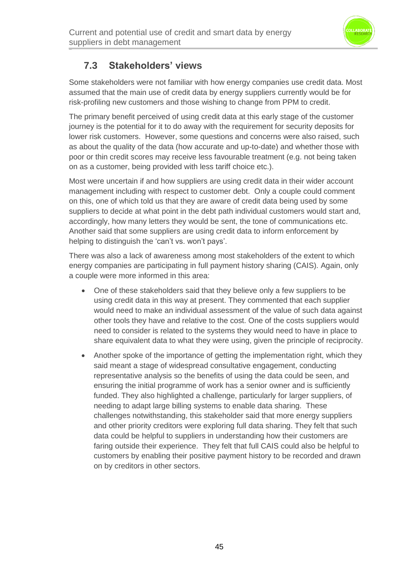

## **7.3 Stakeholders' views**

Some stakeholders were not familiar with how energy companies use credit data. Most assumed that the main use of credit data by energy suppliers currently would be for risk-profiling new customers and those wishing to change from PPM to credit.

The primary benefit perceived of using credit data at this early stage of the customer journey is the potential for it to do away with the requirement for security deposits for lower risk customers. However, some questions and concerns were also raised, such as about the quality of the data (how accurate and up-to-date) and whether those with poor or thin credit scores may receive less favourable treatment (e.g. not being taken on as a customer, being provided with less tariff choice etc.).

Most were uncertain if and how suppliers are using credit data in their wider account management including with respect to customer debt. Only a couple could comment on this, one of which told us that they are aware of credit data being used by some suppliers to decide at what point in the debt path individual customers would start and, accordingly, how many letters they would be sent, the tone of communications etc. Another said that some suppliers are using credit data to inform enforcement by helping to distinguish the 'can't vs. won't pays'.

There was also a lack of awareness among most stakeholders of the extent to which energy companies are participating in full payment history sharing (CAIS). Again, only a couple were more informed in this area:

- One of these stakeholders said that they believe only a few suppliers to be using credit data in this way at present. They commented that each supplier would need to make an individual assessment of the value of such data against other tools they have and relative to the cost. One of the costs suppliers would need to consider is related to the systems they would need to have in place to share equivalent data to what they were using, given the principle of reciprocity.
- Another spoke of the importance of getting the implementation right, which they said meant a stage of widespread consultative engagement, conducting representative analysis so the benefits of using the data could be seen, and ensuring the initial programme of work has a senior owner and is sufficiently funded. They also highlighted a challenge, particularly for larger suppliers, of needing to adapt large billing systems to enable data sharing. These challenges notwithstanding, this stakeholder said that more energy suppliers and other priority creditors were exploring full data sharing. They felt that such data could be helpful to suppliers in understanding how their customers are faring outside their experience. They felt that full CAIS could also be helpful to customers by enabling their positive payment history to be recorded and drawn on by creditors in other sectors.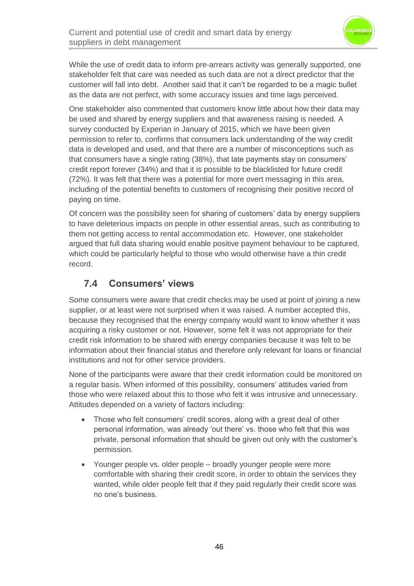

While the use of credit data to inform pre-arrears activity was generally supported, one stakeholder felt that care was needed as such data are not a direct predictor that the customer will fall into debt. Another said that it can't be regarded to be a magic bullet as the data are not perfect, with some accuracy issues and time lags perceived.

One stakeholder also commented that customers know little about how their data may be used and shared by energy suppliers and that awareness raising is needed. A survey conducted by Experian in January of 2015, which we have been given permission to refer to, confirms that consumers lack understanding of the way credit data is developed and used, and that there are a number of misconceptions such as that consumers have a single rating (38%), that late payments stay on consumers' credit report forever (34%) and that it is possible to be blacklisted for future credit (72%)*.* It was felt that there was a potential for more overt messaging in this area, including of the potential benefits to customers of recognising their positive record of paying on time.

Of concern was the possibility seen for sharing of customers' data by energy suppliers to have deleterious impacts on people in other essential areas, such as contributing to them not getting access to rental accommodation etc. However, one stakeholder argued that full data sharing would enable positive payment behaviour to be captured, which could be particularly helpful to those who would otherwise have a thin credit record.

## **7.4 Consumers' views**

Some consumers were aware that credit checks may be used at point of joining a new supplier, or at least were not surprised when it was raised. A number accepted this, because they recognised that the energy company would want to know whether it was acquiring a risky customer or not. However, some felt it was not appropriate for their credit risk information to be shared with energy companies because it was felt to be information about their financial status and therefore only relevant for loans or financial institutions and not for other service providers.

None of the participants were aware that their credit information could be monitored on a regular basis. When informed of this possibility, consumers' attitudes varied from those who were relaxed about this to those who felt it was intrusive and unnecessary. Attitudes depended on a variety of factors including:

- Those who felt consumers' credit scores, along with a great deal of other personal information, was already 'out there' vs. those who felt that this was private, personal information that should be given out only with the customer's permission.
- Younger people vs. older people broadly younger people were more comfortable with sharing their credit score, in order to obtain the services they wanted, while older people felt that if they paid regularly their credit score was no one's business.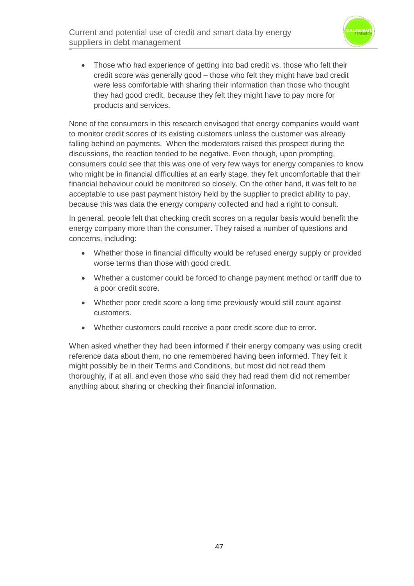

• Those who had experience of getting into bad credit vs. those who felt their credit score was generally good – those who felt they might have bad credit were less comfortable with sharing their information than those who thought they had good credit, because they felt they might have to pay more for products and services.

None of the consumers in this research envisaged that energy companies would want to monitor credit scores of its existing customers unless the customer was already falling behind on payments. When the moderators raised this prospect during the discussions, the reaction tended to be negative. Even though, upon prompting, consumers could see that this was one of very few ways for energy companies to know who might be in financial difficulties at an early stage, they felt uncomfortable that their financial behaviour could be monitored so closely. On the other hand, it was felt to be acceptable to use past payment history held by the supplier to predict ability to pay, because this was data the energy company collected and had a right to consult.

In general, people felt that checking credit scores on a regular basis would benefit the energy company more than the consumer. They raised a number of questions and concerns, including:

- Whether those in financial difficulty would be refused energy supply or provided worse terms than those with good credit.
- Whether a customer could be forced to change payment method or tariff due to a poor credit score.
- Whether poor credit score a long time previously would still count against customers.
- Whether customers could receive a poor credit score due to error.

When asked whether they had been informed if their energy company was using credit reference data about them, no one remembered having been informed. They felt it might possibly be in their Terms and Conditions, but most did not read them thoroughly, if at all, and even those who said they had read them did not remember anything about sharing or checking their financial information.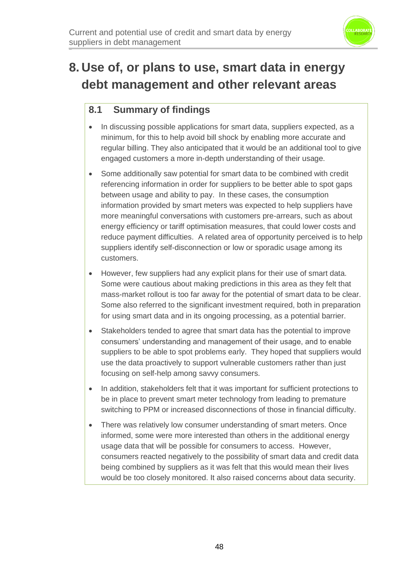

# **8. Use of, or plans to use, smart data in energy debt management and other relevant areas**

## **8.1 Summary of findings**

- In discussing possible applications for smart data, suppliers expected, as a minimum, for this to help avoid bill shock by enabling more accurate and regular billing. They also anticipated that it would be an additional tool to give engaged customers a more in-depth understanding of their usage.
- Some additionally saw potential for smart data to be combined with credit referencing information in order for suppliers to be better able to spot gaps between usage and ability to pay. In these cases, the consumption information provided by smart meters was expected to help suppliers have more meaningful conversations with customers pre-arrears, such as about energy efficiency or tariff optimisation measures, that could lower costs and reduce payment difficulties. A related area of opportunity perceived is to help suppliers identify self-disconnection or low or sporadic usage among its customers.
- However, few suppliers had any explicit plans for their use of smart data. Some were cautious about making predictions in this area as they felt that mass-market rollout is too far away for the potential of smart data to be clear. Some also referred to the significant investment required, both in preparation for using smart data and in its ongoing processing, as a potential barrier.
- Stakeholders tended to agree that smart data has the potential to improve consumers' understanding and management of their usage, and to enable suppliers to be able to spot problems early. They hoped that suppliers would use the data proactively to support vulnerable customers rather than just focusing on self-help among savvy consumers.
- In addition, stakeholders felt that it was important for sufficient protections to be in place to prevent smart meter technology from leading to premature switching to PPM or increased disconnections of those in financial difficulty.
- There was relatively low consumer understanding of smart meters. Once informed, some were more interested than others in the additional energy usage data that will be possible for consumers to access. However, consumers reacted negatively to the possibility of smart data and credit data being combined by suppliers as it was felt that this would mean their lives would be too closely monitored. It also raised concerns about data security.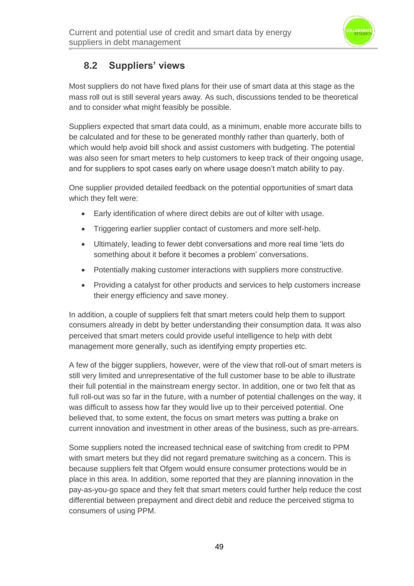

## **8.2 Suppliers' views**

Most suppliers do not have fixed plans for their use of smart data at this stage as the mass roll out is still several years away*.* As such, discussions tended to be theoretical and to consider what might feasibly be possible.

Suppliers expected that smart data could, as a minimum, enable more accurate bills to be calculated and for these to be generated monthly rather than quarterly, both of which would help avoid bill shock and assist customers with budgeting. The potential was also seen for smart meters to help customers to keep track of their ongoing usage, and for suppliers to spot cases early on where usage doesn't match ability to pay.

One supplier provided detailed feedback on the potential opportunities of smart data which they felt were:

- Early identification of where direct debits are out of kilter with usage.
- Triggering earlier supplier contact of customers and more self-help.
- Ultimately, leading to fewer debt conversations and more real time 'lets do something about it before it becomes a problem' conversations.
- Potentially making customer interactions with suppliers more constructive.
- Providing a catalyst for other products and services to help customers increase their energy efficiency and save money.

In addition, a couple of suppliers felt that smart meters could help them to support consumers already in debt by better understanding their consumption data. It was also perceived that smart meters could provide useful intelligence to help with debt management more generally, such as identifying empty properties etc.

A few of the bigger suppliers, however, were of the view that roll-out of smart meters is still very limited and unrepresentative of the full customer base to be able to illustrate their full potential in the mainstream energy sector. In addition, one or two felt that as full roll-out was so far in the future, with a number of potential challenges on the way, it was difficult to assess how far they would live up to their perceived potential. One believed that, to some extent, the focus on smart meters was putting a brake on current innovation and investment in other areas of the business, such as pre-arrears.

Some suppliers noted the increased technical ease of switching from credit to PPM with smart meters but they did not regard premature switching as a concern. This is because suppliers felt that Ofgem would ensure consumer protections would be in place in this area. In addition, some reported that they are planning innovation in the pay-as-you-go space and they felt that smart meters could further help reduce the cost differential between prepayment and direct debit and reduce the perceived stigma to consumers of using PPM.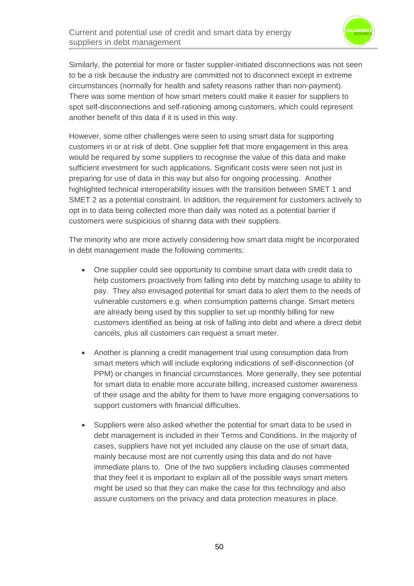

Similarly, the potential for more or faster supplier-initiated disconnections was not seen to be a risk because the industry are committed not to disconnect except in extreme circumstances (normally for health and safety reasons rather than non-payment). There was some mention of how smart meters could make it easier for suppliers to spot self-disconnections and self-rationing among customers, which could represent another benefit of this data if it is used in this way.

However, some other challenges were seen to using smart data for supporting customers in or at risk of debt. One supplier felt that more engagement in this area would be required by some suppliers to recognise the value of this data and make sufficient investment for such applications. Significant costs were seen not just in preparing for use of data in this way but also for ongoing processing. Another highlighted technical interoperability issues with the transition between SMET 1 and SMET 2 as a potential constraint. In addition, the requirement for customers actively to opt in to data being collected more than daily was noted as a potential barrier if customers were suspicious of sharing data with their suppliers.

The minority who are more actively considering how smart data might be incorporated in debt management made the following comments:

- One supplier could see opportunity to combine smart data with credit data to help customers proactively from falling into debt by matching usage to ability to pay. They also envisaged potential for smart data to alert them to the needs of vulnerable customers e.g. when consumption patterns change. Smart meters are already being used by this supplier to set up monthly billing for new customers identified as being at risk of falling into debt and where a direct debit cancels, plus all customers can request a smart meter.
- Another is planning a credit management trial using consumption data from smart meters which will include exploring indications of self-disconnection (of PPM) or changes in financial circumstances. More generally, they see potential for smart data to enable more accurate billing, increased customer awareness of their usage and the ability for them to have more engaging conversations to support customers with financial difficulties.
- Suppliers were also asked whether the potential for smart data to be used in debt management is included in their Terms and Conditions. In the majority of cases, suppliers have not yet included any clause on the use of smart data, mainly because most are not currently using this data and do not have immediate plans to. One of the two suppliers including clauses commented that they feel it is important to explain all of the possible ways smart meters might be used so that they can make the case for this technology and also assure customers on the privacy and data protection measures in place.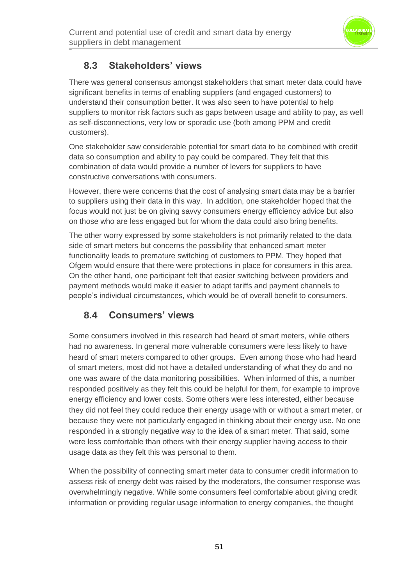

## **8.3 Stakeholders' views**

There was general consensus amongst stakeholders that smart meter data could have significant benefits in terms of enabling suppliers (and engaged customers) to understand their consumption better. It was also seen to have potential to help suppliers to monitor risk factors such as gaps between usage and ability to pay, as well as self-disconnections, very low or sporadic use (both among PPM and credit customers).

One stakeholder saw considerable potential for smart data to be combined with credit data so consumption and ability to pay could be compared. They felt that this combination of data would provide a number of levers for suppliers to have constructive conversations with consumers.

However, there were concerns that the cost of analysing smart data may be a barrier to suppliers using their data in this way. In addition, one stakeholder hoped that the focus would not just be on giving savvy consumers energy efficiency advice but also on those who are less engaged but for whom the data could also bring benefits.

The other worry expressed by some stakeholders is not primarily related to the data side of smart meters but concerns the possibility that enhanced smart meter functionality leads to premature switching of customers to PPM. They hoped that Ofgem would ensure that there were protections in place for consumers in this area. On the other hand, one participant felt that easier switching between providers and payment methods would make it easier to adapt tariffs and payment channels to people's individual circumstances, which would be of overall benefit to consumers.

## **8.4 Consumers' views**

Some consumers involved in this research had heard of smart meters, while others had no awareness. In general more vulnerable consumers were less likely to have heard of smart meters compared to other groups. Even among those who had heard of smart meters, most did not have a detailed understanding of what they do and no one was aware of the data monitoring possibilities. When informed of this, a number responded positively as they felt this could be helpful for them, for example to improve energy efficiency and lower costs. Some others were less interested, either because they did not feel they could reduce their energy usage with or without a smart meter, or because they were not particularly engaged in thinking about their energy use. No one responded in a strongly negative way to the idea of a smart meter. That said, some were less comfortable than others with their energy supplier having access to their usage data as they felt this was personal to them.

When the possibility of connecting smart meter data to consumer credit information to assess risk of energy debt was raised by the moderators, the consumer response was overwhelmingly negative. While some consumers feel comfortable about giving credit information or providing regular usage information to energy companies, the thought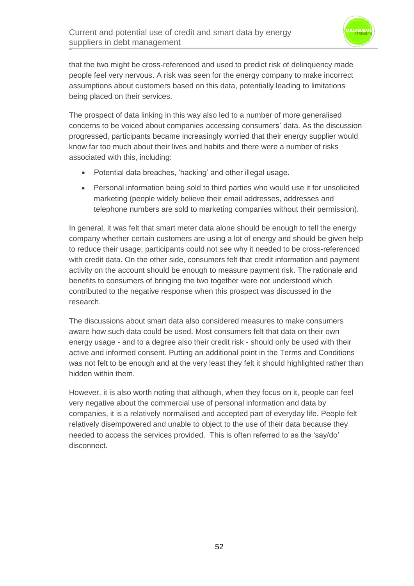

that the two might be cross-referenced and used to predict risk of delinquency made people feel very nervous. A risk was seen for the energy company to make incorrect assumptions about customers based on this data, potentially leading to limitations being placed on their services.

The prospect of data linking in this way also led to a number of more generalised concerns to be voiced about companies accessing consumers' data. As the discussion progressed, participants became increasingly worried that their energy supplier would know far too much about their lives and habits and there were a number of risks associated with this, including:

- Potential data breaches, 'hacking' and other illegal usage.
- Personal information being sold to third parties who would use it for unsolicited marketing (people widely believe their email addresses, addresses and telephone numbers are sold to marketing companies without their permission).

In general, it was felt that smart meter data alone should be enough to tell the energy company whether certain customers are using a lot of energy and should be given help to reduce their usage; participants could not see why it needed to be cross-referenced with credit data. On the other side, consumers felt that credit information and payment activity on the account should be enough to measure payment risk. The rationale and benefits to consumers of bringing the two together were not understood which contributed to the negative response when this prospect was discussed in the research.

The discussions about smart data also considered measures to make consumers aware how such data could be used. Most consumers felt that data on their own energy usage - and to a degree also their credit risk - should only be used with their active and informed consent. Putting an additional point in the Terms and Conditions was not felt to be enough and at the very least they felt it should highlighted rather than hidden within them.

However, it is also worth noting that although, when they focus on it, people can feel very negative about the commercial use of personal information and data by companies, it is a relatively normalised and accepted part of everyday life. People felt relatively disempowered and unable to object to the use of their data because they needed to access the services provided. This is often referred to as the 'say/do' disconnect.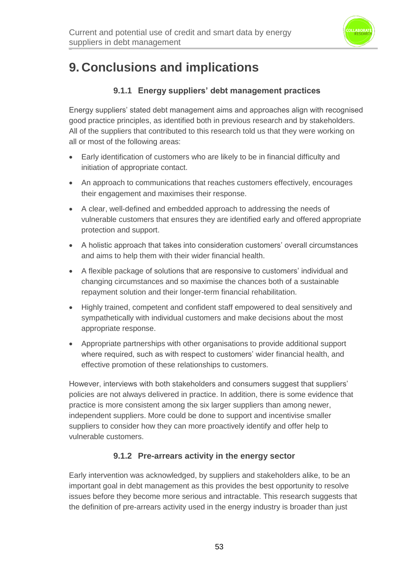

## **9. Conclusions and implications**

### **9.1.1 Energy suppliers' debt management practices**

Energy suppliers' stated debt management aims and approaches align with recognised good practice principles, as identified both in previous research and by stakeholders. All of the suppliers that contributed to this research told us that they were working on all or most of the following areas:

- Early identification of customers who are likely to be in financial difficulty and initiation of appropriate contact.
- An approach to communications that reaches customers effectively, encourages their engagement and maximises their response.
- A clear, well-defined and embedded approach to addressing the needs of vulnerable customers that ensures they are identified early and offered appropriate protection and support.
- A holistic approach that takes into consideration customers' overall circumstances and aims to help them with their wider financial health.
- A flexible package of solutions that are responsive to customers' individual and changing circumstances and so maximise the chances both of a sustainable repayment solution and their longer-term financial rehabilitation.
- Highly trained, competent and confident staff empowered to deal sensitively and sympathetically with individual customers and make decisions about the most appropriate response.
- Appropriate partnerships with other organisations to provide additional support where required, such as with respect to customers' wider financial health, and effective promotion of these relationships to customers.

However, interviews with both stakeholders and consumers suggest that suppliers' policies are not always delivered in practice. In addition, there is some evidence that practice is more consistent among the six larger suppliers than among newer, independent suppliers. More could be done to support and incentivise smaller suppliers to consider how they can more proactively identify and offer help to vulnerable customers.

### **9.1.2 Pre-arrears activity in the energy sector**

Early intervention was acknowledged, by suppliers and stakeholders alike, to be an important goal in debt management as this provides the best opportunity to resolve issues before they become more serious and intractable. This research suggests that the definition of pre-arrears activity used in the energy industry is broader than just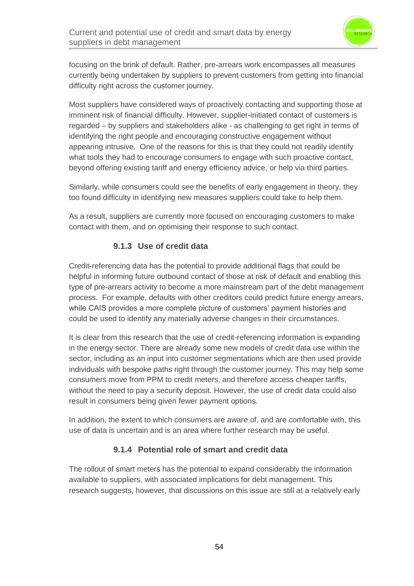

focusing on the brink of default. Rather, pre-arrears work encompasses all measures currently being undertaken by suppliers to prevent customers from getting into financial difficulty right across the customer journey.

Most suppliers have considered ways of proactively contacting and supporting those at imminent risk of financial difficulty. However, supplier-initiated contact of customers is regarded – by suppliers and stakeholders alike - as challenging to get right in terms of identifying the right people and encouraging constructive engagement without appearing intrusive. One of the reasons for this is that they could not readily identify what tools they had to encourage consumers to engage with such proactive contact, beyond offering existing tariff and energy efficiency advice, or help via third parties.

Similarly, while consumers could see the benefits of early engagement in theory, they too found difficulty in identifying new measures suppliers could take to help them.

As a result, suppliers are currently more focused on encouraging customers to make contact with them, and on optimising their response to such contact.

#### **9.1.3 Use of credit data**

Credit-referencing data has the potential to provide additional flags that could be helpful in informing future outbound contact of those at risk of default and enabling this type of pre-arrears activity to become a more mainstream part of the debt management process. For example, defaults with other creditors could predict future energy arrears, while CAIS provides a more complete picture of customers' payment histories and could be used to identify any materially adverse changes in their circumstances.

It is clear from this research that the use of credit-referencing information is expanding in the energy sector. There are already some new models of credit data use within the sector, including as an input into customer segmentations which are then used provide individuals with bespoke paths right through the customer journey. This may help some consumers move from PPM to credit meters, and therefore access cheaper tariffs, without the need to pay a security deposit. However, the use of credit data could also result in consumers being given fewer payment options.

In addition, the extent to which consumers are aware of, and are comfortable with, this use of data is uncertain and is an area where further research may be useful.

### **9.1.4 Potential role of smart and credit data**

The rollout of smart meters has the potential to expand considerably the information available to suppliers, with associated implications for debt management. This research suggests, however, that discussions on this issue are still at a relatively early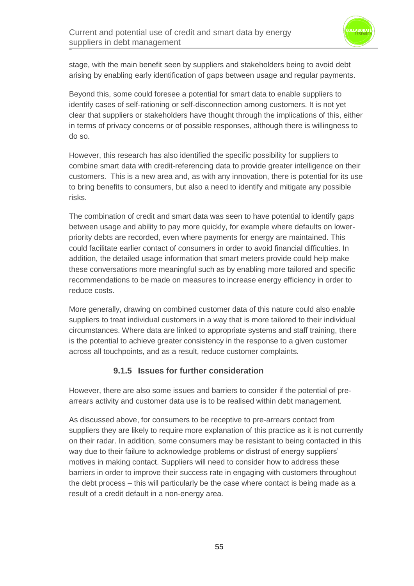

stage, with the main benefit seen by suppliers and stakeholders being to avoid debt arising by enabling early identification of gaps between usage and regular payments.

Beyond this, some could foresee a potential for smart data to enable suppliers to identify cases of self-rationing or self-disconnection among customers. It is not yet clear that suppliers or stakeholders have thought through the implications of this, either in terms of privacy concerns or of possible responses, although there is willingness to do so.

However, this research has also identified the specific possibility for suppliers to combine smart data with credit-referencing data to provide greater intelligence on their customers. This is a new area and, as with any innovation, there is potential for its use to bring benefits to consumers, but also a need to identify and mitigate any possible risks.

The combination of credit and smart data was seen to have potential to identify gaps between usage and ability to pay more quickly, for example where defaults on lowerpriority debts are recorded, even where payments for energy are maintained. This could facilitate earlier contact of consumers in order to avoid financial difficulties. In addition, the detailed usage information that smart meters provide could help make these conversations more meaningful such as by enabling more tailored and specific recommendations to be made on measures to increase energy efficiency in order to reduce costs.

More generally, drawing on combined customer data of this nature could also enable suppliers to treat individual customers in a way that is more tailored to their individual circumstances. Where data are linked to appropriate systems and staff training, there is the potential to achieve greater consistency in the response to a given customer across all touchpoints, and as a result, reduce customer complaints.

### **9.1.5 Issues for further consideration**

However, there are also some issues and barriers to consider if the potential of prearrears activity and customer data use is to be realised within debt management.

As discussed above, for consumers to be receptive to pre-arrears contact from suppliers they are likely to require more explanation of this practice as it is not currently on their radar. In addition, some consumers may be resistant to being contacted in this way due to their failure to acknowledge problems or distrust of energy suppliers' motives in making contact. Suppliers will need to consider how to address these barriers in order to improve their success rate in engaging with customers throughout the debt process – this will particularly be the case where contact is being made as a result of a credit default in a non-energy area.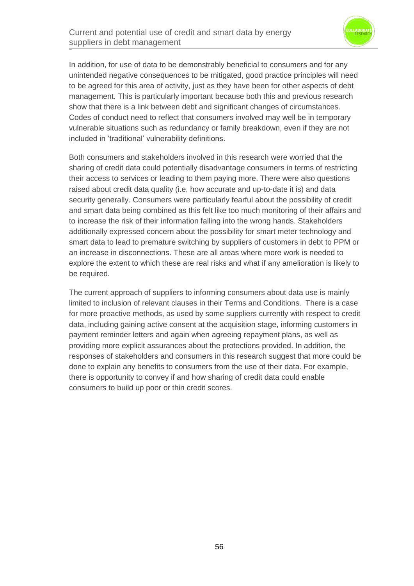

In addition, for use of data to be demonstrably beneficial to consumers and for any unintended negative consequences to be mitigated, good practice principles will need to be agreed for this area of activity, just as they have been for other aspects of debt management. This is particularly important because both this and previous research show that there is a link between debt and significant changes of circumstances. Codes of conduct need to reflect that consumers involved may well be in temporary vulnerable situations such as redundancy or family breakdown, even if they are not included in 'traditional' vulnerability definitions.

Both consumers and stakeholders involved in this research were worried that the sharing of credit data could potentially disadvantage consumers in terms of restricting their access to services or leading to them paying more. There were also questions raised about credit data quality (i.e. how accurate and up-to-date it is) and data security generally. Consumers were particularly fearful about the possibility of credit and smart data being combined as this felt like too much monitoring of their affairs and to increase the risk of their information falling into the wrong hands. Stakeholders additionally expressed concern about the possibility for smart meter technology and smart data to lead to premature switching by suppliers of customers in debt to PPM or an increase in disconnections. These are all areas where more work is needed to explore the extent to which these are real risks and what if any amelioration is likely to be required.

The current approach of suppliers to informing consumers about data use is mainly limited to inclusion of relevant clauses in their Terms and Conditions. There is a case for more proactive methods, as used by some suppliers currently with respect to credit data, including gaining active consent at the acquisition stage, informing customers in payment reminder letters and again when agreeing repayment plans, as well as providing more explicit assurances about the protections provided. In addition, the responses of stakeholders and consumers in this research suggest that more could be done to explain any benefits to consumers from the use of their data. For example, there is opportunity to convey if and how sharing of credit data could enable consumers to build up poor or thin credit scores.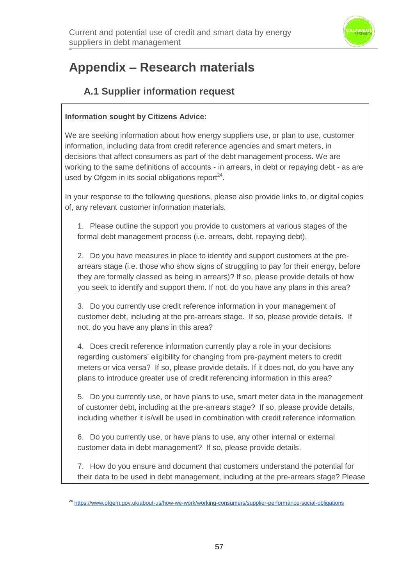

# **Appendix – Research materials**

## **A.1 Supplier information request**

#### **Information sought by Citizens Advice:**

We are seeking information about how energy suppliers use, or plan to use, customer information, including data from credit reference agencies and smart meters, in decisions that affect consumers as part of the debt management process. We are working to the same definitions of accounts - in arrears, in debt or repaying debt - as are used by Ofgem in its social obligations report $24$ .

In your response to the following questions, please also provide links to, or digital copies of, any relevant customer information materials.

1. Please outline the support you provide to customers at various stages of the formal debt management process (i.e. arrears, debt, repaying debt).

2. Do you have measures in place to identify and support customers at the prearrears stage (i.e. those who show signs of struggling to pay for their energy, before they are formally classed as being in arrears)? If so, please provide details of how you seek to identify and support them. If not, do you have any plans in this area?

3. Do you currently use credit reference information in your management of customer debt, including at the pre-arrears stage. If so, please provide details. If not, do you have any plans in this area?

4. Does credit reference information currently play a role in your decisions regarding customers' eligibility for changing from pre-payment meters to credit meters or vica versa? If so, please provide details. If it does not, do you have any plans to introduce greater use of credit referencing information in this area?

5. Do you currently use, or have plans to use, smart meter data in the management of customer debt, including at the pre-arrears stage? If so, please provide details, including whether it is/will be used in combination with credit reference information.

6. Do you currently use, or have plans to use, any other internal or external customer data in debt management? If so, please provide details.

7. How do you ensure and document that customers understand the potential for their data to be used in debt management, including at the pre-arrears stage? Please

<sup>24</sup> <https://www.ofgem.gov.uk/about-us/how-we-work/working-consumers/supplier-performance-social-obligations>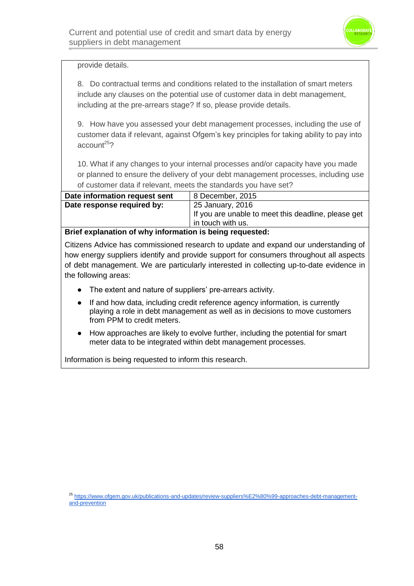

#### provide details.

8. Do contractual terms and conditions related to the installation of smart meters include any clauses on the potential use of customer data in debt management, including at the pre-arrears stage? If so, please provide details.

9. How have you assessed your debt management processes, including the use of customer data if relevant, against Ofgem's key principles for taking ability to pay into  $\arccos 25$ ?

10. What if any changes to your internal processes and/or capacity have you made or planned to ensure the delivery of your debt management processes, including use of customer data if relevant, meets the standards you have set?

| Date information request sent | 8 December, 2015                                                         |
|-------------------------------|--------------------------------------------------------------------------|
| Date response required by:    | 25 January, 2016                                                         |
|                               | If you are unable to meet this deadline, please get<br>in touch with us. |
|                               | .                                                                        |

**Brief explanation of why information is being requested:**

Citizens Advice has commissioned research to update and expand our understanding of how energy suppliers identify and provide support for consumers throughout all aspects of debt management. We are particularly interested in collecting up-to-date evidence in the following areas:

- The extent and nature of suppliers' pre-arrears activity.
- If and how data, including credit reference agency information, is currently playing a role in debt management as well as in decisions to move customers from PPM to credit meters.
- How approaches are likely to evolve further, including the potential for smart meter data to be integrated within debt management processes.

Information is being requested to inform this research.

<sup>25</sup> [https://www.ofgem.gov.uk/publications-and-updates/review-suppliers%E2%80%99-approaches-debt-management](https://www.ofgem.gov.uk/publications-and-updates/review-suppliers%E2%80%99-approaches-debt-management-and-prevention)[and-prevention](https://www.ofgem.gov.uk/publications-and-updates/review-suppliers%E2%80%99-approaches-debt-management-and-prevention)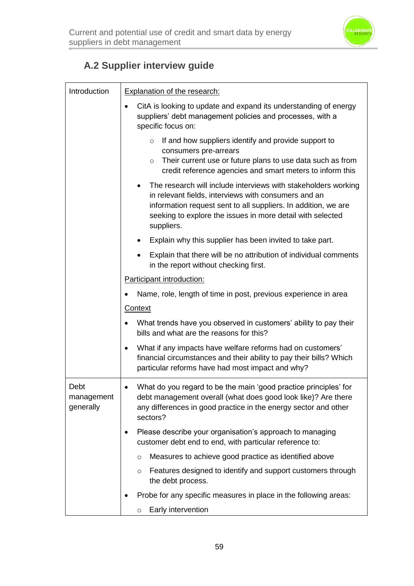

## **A.2 Supplier interview guide**

| Introduction                    | <b>Explanation of the research:</b>                                                                                                                                                                                                                                  |
|---------------------------------|----------------------------------------------------------------------------------------------------------------------------------------------------------------------------------------------------------------------------------------------------------------------|
|                                 | CitA is looking to update and expand its understanding of energy<br>suppliers' debt management policies and processes, with a<br>specific focus on:                                                                                                                  |
|                                 | If and how suppliers identify and provide support to<br>$\circ$<br>consumers pre-arrears<br>Their current use or future plans to use data such as from<br>$\circ$<br>credit reference agencies and smart meters to inform this                                       |
|                                 | The research will include interviews with stakeholders working<br>in relevant fields, interviews with consumers and an<br>information request sent to all suppliers. In addition, we are<br>seeking to explore the issues in more detail with selected<br>suppliers. |
|                                 | Explain why this supplier has been invited to take part.                                                                                                                                                                                                             |
|                                 | Explain that there will be no attribution of individual comments<br>in the report without checking first.                                                                                                                                                            |
|                                 | Participant introduction:                                                                                                                                                                                                                                            |
|                                 | Name, role, length of time in post, previous experience in area                                                                                                                                                                                                      |
|                                 | Context                                                                                                                                                                                                                                                              |
|                                 | What trends have you observed in customers' ability to pay their<br>bills and what are the reasons for this?                                                                                                                                                         |
|                                 | What if any impacts have welfare reforms had on customers'<br>financial circumstances and their ability to pay their bills? Which<br>particular reforms have had most impact and why?                                                                                |
| Debt<br>management<br>generally | What do you regard to be the main 'good practice principles' for<br>debt management overall (what does good look like)? Are there<br>any differences in good practice in the energy sector and other<br>sectors?                                                     |
|                                 | Please describe your organisation's approach to managing<br>customer debt end to end, with particular reference to:                                                                                                                                                  |
|                                 | Measures to achieve good practice as identified above<br>$\circ$                                                                                                                                                                                                     |
|                                 | Features designed to identify and support customers through<br>$\circ$<br>the debt process.                                                                                                                                                                          |
|                                 | Probe for any specific measures in place in the following areas:                                                                                                                                                                                                     |
|                                 | Early intervention<br>$\circ$                                                                                                                                                                                                                                        |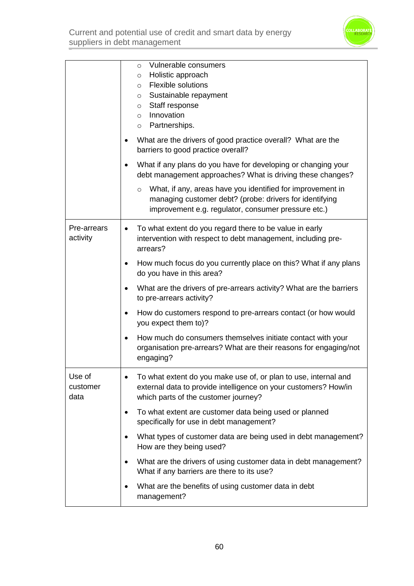

Current and potential use of credit and smart data by energy suppliers in debt management

|                            | Vulnerable consumers<br>$\circ$<br>Holistic approach<br>$\circ$<br><b>Flexible solutions</b><br>$\circ$<br>o Sustainable repayment<br>Staff response<br>$\circ$<br>Innovation<br>$\circ$<br>Partnerships.<br>$\circ$<br>What are the drivers of good practice overall? What are the<br>barriers to good practice overall?<br>What if any plans do you have for developing or changing your<br>debt management approaches? What is driving these changes?<br>What, if any, areas have you identified for improvement in<br>$\circ$<br>managing customer debt? (probe: drivers for identifying<br>improvement e.g. regulator, consumer pressure etc.) |
|----------------------------|-----------------------------------------------------------------------------------------------------------------------------------------------------------------------------------------------------------------------------------------------------------------------------------------------------------------------------------------------------------------------------------------------------------------------------------------------------------------------------------------------------------------------------------------------------------------------------------------------------------------------------------------------------|
| Pre-arrears<br>activity    | To what extent do you regard there to be value in early<br>intervention with respect to debt management, including pre-<br>arrears?                                                                                                                                                                                                                                                                                                                                                                                                                                                                                                                 |
|                            | How much focus do you currently place on this? What if any plans<br>do you have in this area?                                                                                                                                                                                                                                                                                                                                                                                                                                                                                                                                                       |
|                            | What are the drivers of pre-arrears activity? What are the barriers<br>to pre-arrears activity?                                                                                                                                                                                                                                                                                                                                                                                                                                                                                                                                                     |
|                            | How do customers respond to pre-arrears contact (or how would<br>you expect them to)?                                                                                                                                                                                                                                                                                                                                                                                                                                                                                                                                                               |
|                            | How much do consumers themselves initiate contact with your<br>organisation pre-arrears? What are their reasons for engaging/not<br>engaging?                                                                                                                                                                                                                                                                                                                                                                                                                                                                                                       |
| Use of<br>customer<br>data | To what extent do you make use of, or plan to use, internal and<br>external data to provide intelligence on your customers? How/in<br>which parts of the customer journey?                                                                                                                                                                                                                                                                                                                                                                                                                                                                          |
|                            | To what extent are customer data being used or planned<br>specifically for use in debt management?                                                                                                                                                                                                                                                                                                                                                                                                                                                                                                                                                  |
|                            | What types of customer data are being used in debt management?<br>$\bullet$<br>How are they being used?                                                                                                                                                                                                                                                                                                                                                                                                                                                                                                                                             |
|                            | What are the drivers of using customer data in debt management?<br>$\bullet$<br>What if any barriers are there to its use?                                                                                                                                                                                                                                                                                                                                                                                                                                                                                                                          |
|                            | What are the benefits of using customer data in debt<br>management?                                                                                                                                                                                                                                                                                                                                                                                                                                                                                                                                                                                 |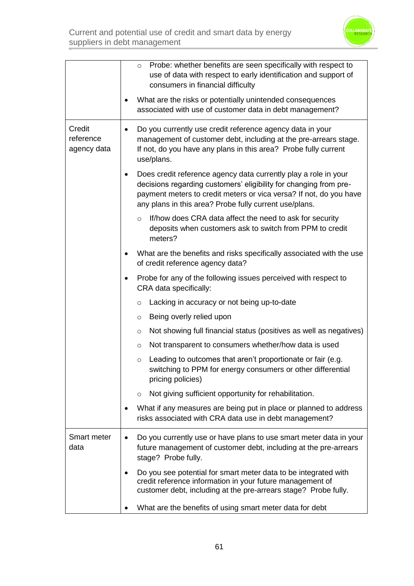

|                                    | Probe: whether benefits are seen specifically with respect to<br>$\circ$<br>use of data with respect to early identification and support of<br>consumers in financial difficulty                                                                                     |
|------------------------------------|----------------------------------------------------------------------------------------------------------------------------------------------------------------------------------------------------------------------------------------------------------------------|
|                                    | What are the risks or potentially unintended consequences<br>associated with use of customer data in debt management?                                                                                                                                                |
| Credit<br>reference<br>agency data | Do you currently use credit reference agency data in your<br>$\bullet$<br>management of customer debt, including at the pre-arrears stage.<br>If not, do you have any plans in this area? Probe fully current<br>use/plans.                                          |
|                                    | Does credit reference agency data currently play a role in your<br>decisions regarding customers' eligibility for changing from pre-<br>payment meters to credit meters or vica versa? If not, do you have<br>any plans in this area? Probe fully current use/plans. |
|                                    | If/how does CRA data affect the need to ask for security<br>$\circ$<br>deposits when customers ask to switch from PPM to credit<br>meters?                                                                                                                           |
|                                    | What are the benefits and risks specifically associated with the use<br>of credit reference agency data?                                                                                                                                                             |
|                                    | Probe for any of the following issues perceived with respect to<br>CRA data specifically:                                                                                                                                                                            |
|                                    | Lacking in accuracy or not being up-to-date<br>$\circ$                                                                                                                                                                                                               |
|                                    | Being overly relied upon<br>$\circ$                                                                                                                                                                                                                                  |
|                                    | Not showing full financial status (positives as well as negatives)<br>$\circ$                                                                                                                                                                                        |
|                                    | Not transparent to consumers whether/how data is used<br>$\circ$                                                                                                                                                                                                     |
|                                    | Leading to outcomes that aren't proportionate or fair (e.g.<br>$\circ$<br>switching to PPM for energy consumers or other differential<br>pricing policies)                                                                                                           |
|                                    | Not giving sufficient opportunity for rehabilitation.<br>$\circ$                                                                                                                                                                                                     |
|                                    | What if any measures are being put in place or planned to address<br>risks associated with CRA data use in debt management?                                                                                                                                          |
| Smart meter<br>data                | Do you currently use or have plans to use smart meter data in your<br>future management of customer debt, including at the pre-arrears<br>stage? Probe fully.                                                                                                        |
|                                    | Do you see potential for smart meter data to be integrated with<br>credit reference information in your future management of<br>customer debt, including at the pre-arrears stage? Probe fully.                                                                      |
|                                    | What are the benefits of using smart meter data for debt                                                                                                                                                                                                             |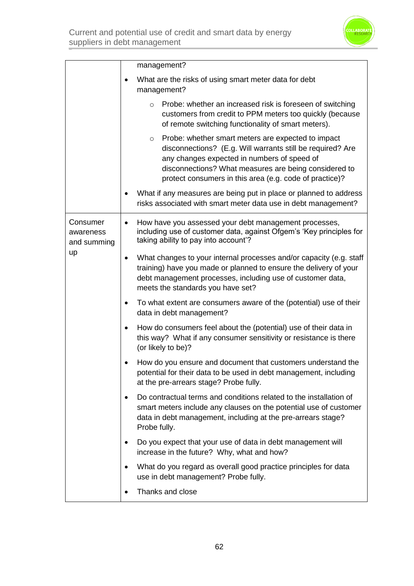

|                                            | management?                                                                                                                                                                                                                                                                                    |
|--------------------------------------------|------------------------------------------------------------------------------------------------------------------------------------------------------------------------------------------------------------------------------------------------------------------------------------------------|
|                                            | What are the risks of using smart meter data for debt<br>management?                                                                                                                                                                                                                           |
|                                            | Probe: whether an increased risk is foreseen of switching<br>$\circ$<br>customers from credit to PPM meters too quickly (because<br>of remote switching functionality of smart meters).                                                                                                        |
|                                            | Probe: whether smart meters are expected to impact<br>$\circ$<br>disconnections? (E.g. Will warrants still be required? Are<br>any changes expected in numbers of speed of<br>disconnections? What measures are being considered to<br>protect consumers in this area (e.g. code of practice)? |
|                                            | What if any measures are being put in place or planned to address<br>٠<br>risks associated with smart meter data use in debt management?                                                                                                                                                       |
| Consumer<br>awareness<br>and summing<br>up | How have you assessed your debt management processes,<br>$\bullet$<br>including use of customer data, against Ofgem's 'Key principles for<br>taking ability to pay into account'?                                                                                                              |
|                                            | What changes to your internal processes and/or capacity (e.g. staff<br>٠<br>training) have you made or planned to ensure the delivery of your<br>debt management processes, including use of customer data,<br>meets the standards you have set?                                               |
|                                            | To what extent are consumers aware of the (potential) use of their<br>٠<br>data in debt management?                                                                                                                                                                                            |
|                                            | How do consumers feel about the (potential) use of their data in<br>٠<br>this way? What if any consumer sensitivity or resistance is there<br>(or likely to be)?                                                                                                                               |
|                                            | How do you ensure and document that customers understand the<br>potential for their data to be used in debt management, including<br>at the pre-arrears stage? Probe fully.                                                                                                                    |
|                                            | Do contractual terms and conditions related to the installation of<br>٠<br>smart meters include any clauses on the potential use of customer<br>data in debt management, including at the pre-arrears stage?<br>Probe fully.                                                                   |
|                                            | Do you expect that your use of data in debt management will<br>٠<br>increase in the future? Why, what and how?                                                                                                                                                                                 |
|                                            | What do you regard as overall good practice principles for data<br>use in debt management? Probe fully.                                                                                                                                                                                        |
|                                            | Thanks and close                                                                                                                                                                                                                                                                               |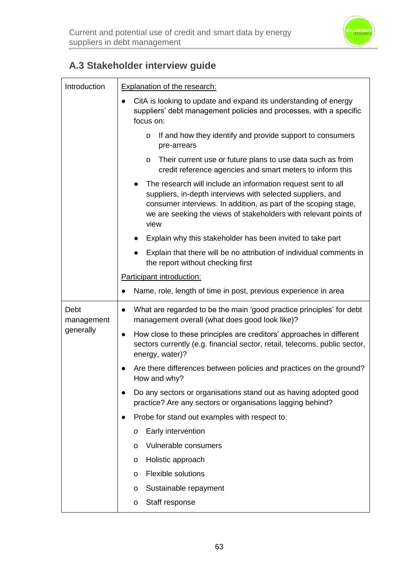

## **A.3 Stakeholder interview guide**

| Introduction       | <b>Explanation of the research:</b>                                                                                                                                                                                                                                        |  |
|--------------------|----------------------------------------------------------------------------------------------------------------------------------------------------------------------------------------------------------------------------------------------------------------------------|--|
|                    | CitA is looking to update and expand its understanding of energy<br>suppliers' debt management policies and processes, with a specific<br>focus on:                                                                                                                        |  |
|                    | If and how they identify and provide support to consumers<br>$\circ$<br>pre-arrears                                                                                                                                                                                        |  |
|                    | Their current use or future plans to use data such as from<br>$\circ$<br>credit reference agencies and smart meters to inform this                                                                                                                                         |  |
|                    | The research will include an information request sent to all<br>suppliers, in-depth interviews with selected suppliers, and<br>consumer interviews. In addition, as part of the scoping stage,<br>we are seeking the views of stakeholders with relevant points of<br>view |  |
|                    | Explain why this stakeholder has been invited to take part                                                                                                                                                                                                                 |  |
|                    | Explain that there will be no attribution of individual comments in<br>the report without checking first                                                                                                                                                                   |  |
|                    | Participant introduction:                                                                                                                                                                                                                                                  |  |
|                    | Name, role, length of time in post, previous experience in area                                                                                                                                                                                                            |  |
| Debt<br>management | What are regarded to be the main 'good practice principles' for debt<br>$\bullet$<br>management overall (what does good look like)?                                                                                                                                        |  |
| generally          | How close to these principles are creditors' approaches in different<br>$\bullet$<br>sectors currently (e.g. financial sector, retail, telecoms, public sector,<br>energy, water)?                                                                                         |  |
|                    | Are there differences between policies and practices on the ground?<br>$\bullet$<br>How and why?                                                                                                                                                                           |  |
|                    | Do any sectors or organisations stand out as having adopted good<br>practice? Are any sectors or organisations lagging behind?                                                                                                                                             |  |
|                    | Probe for stand out examples with respect to:                                                                                                                                                                                                                              |  |
|                    | Early intervention<br>o                                                                                                                                                                                                                                                    |  |
|                    | Vulnerable consumers<br>$\mathsf{o}$                                                                                                                                                                                                                                       |  |
|                    | Holistic approach<br>o                                                                                                                                                                                                                                                     |  |
|                    | <b>Flexible solutions</b><br>$\mathsf{o}$                                                                                                                                                                                                                                  |  |
|                    | Sustainable repayment<br>o                                                                                                                                                                                                                                                 |  |
|                    | Staff response<br>o                                                                                                                                                                                                                                                        |  |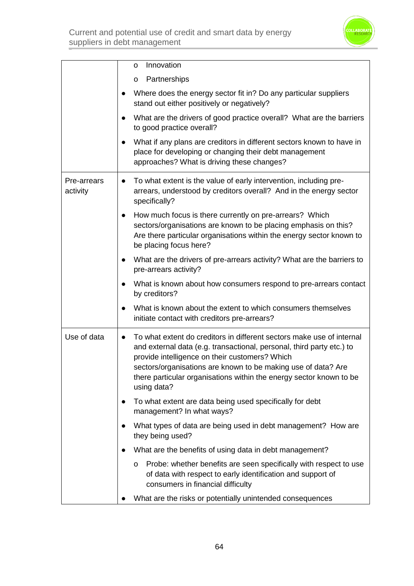

|                         | Innovation<br>0                                                                                                                                                                                                                                                                                                                                                      |
|-------------------------|----------------------------------------------------------------------------------------------------------------------------------------------------------------------------------------------------------------------------------------------------------------------------------------------------------------------------------------------------------------------|
|                         | Partnerships<br>0                                                                                                                                                                                                                                                                                                                                                    |
|                         | Where does the energy sector fit in? Do any particular suppliers<br>stand out either positively or negatively?                                                                                                                                                                                                                                                       |
|                         | What are the drivers of good practice overall? What are the barriers<br>to good practice overall?                                                                                                                                                                                                                                                                    |
|                         | What if any plans are creditors in different sectors known to have in<br>place for developing or changing their debt management<br>approaches? What is driving these changes?                                                                                                                                                                                        |
| Pre-arrears<br>activity | To what extent is the value of early intervention, including pre-<br>$\bullet$<br>arrears, understood by creditors overall? And in the energy sector<br>specifically?                                                                                                                                                                                                |
|                         | How much focus is there currently on pre-arrears? Which<br>$\bullet$<br>sectors/organisations are known to be placing emphasis on this?<br>Are there particular organisations within the energy sector known to<br>be placing focus here?                                                                                                                            |
|                         | What are the drivers of pre-arrears activity? What are the barriers to<br>pre-arrears activity?                                                                                                                                                                                                                                                                      |
|                         | What is known about how consumers respond to pre-arrears contact<br>by creditors?                                                                                                                                                                                                                                                                                    |
|                         | What is known about the extent to which consumers themselves<br>initiate contact with creditors pre-arrears?                                                                                                                                                                                                                                                         |
| Use of data             | To what extent do creditors in different sectors make use of internal<br>$\bullet$<br>and external data (e.g. transactional, personal, third party etc.) to<br>provide intelligence on their customers? Which<br>sectors/organisations are known to be making use of data? Are<br>there particular organisations within the energy sector known to be<br>using data? |
|                         | To what extent are data being used specifically for debt<br>management? In what ways?                                                                                                                                                                                                                                                                                |
|                         | What types of data are being used in debt management? How are<br>they being used?                                                                                                                                                                                                                                                                                    |
|                         | What are the benefits of using data in debt management?                                                                                                                                                                                                                                                                                                              |
|                         | Probe: whether benefits are seen specifically with respect to use<br>O<br>of data with respect to early identification and support of<br>consumers in financial difficulty                                                                                                                                                                                           |
|                         | What are the risks or potentially unintended consequences                                                                                                                                                                                                                                                                                                            |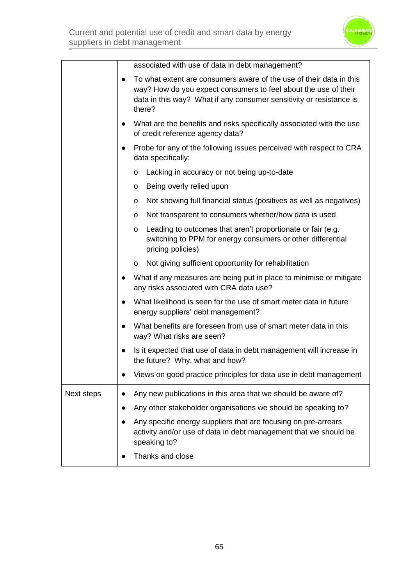

|            | associated with use of data in debt management?                                                                                                                                                                         |
|------------|-------------------------------------------------------------------------------------------------------------------------------------------------------------------------------------------------------------------------|
|            | To what extent are consumers aware of the use of their data in this<br>way? How do you expect consumers to feel about the use of their<br>data in this way? What if any consumer sensitivity or resistance is<br>there? |
|            | What are the benefits and risks specifically associated with the use<br>of credit reference agency data?                                                                                                                |
|            | Probe for any of the following issues perceived with respect to CRA<br>data specifically:                                                                                                                               |
|            | Lacking in accuracy or not being up-to-date<br>0                                                                                                                                                                        |
|            | Being overly relied upon<br>o                                                                                                                                                                                           |
|            | Not showing full financial status (positives as well as negatives)<br>o                                                                                                                                                 |
|            | Not transparent to consumers whether/how data is used<br>0                                                                                                                                                              |
|            | Leading to outcomes that aren't proportionate or fair (e.g.<br>$\mathsf{o}$<br>switching to PPM for energy consumers or other differential<br>pricing policies)                                                         |
|            | Not giving sufficient opportunity for rehabilitation<br>0                                                                                                                                                               |
|            | What if any measures are being put in place to minimise or mitigate<br>any risks associated with CRA data use?                                                                                                          |
|            | What likelihood is seen for the use of smart meter data in future<br>energy suppliers' debt management?                                                                                                                 |
|            | What benefits are foreseen from use of smart meter data in this<br>$\bullet$<br>way? What risks are seen?                                                                                                               |
|            | Is it expected that use of data in debt management will increase in<br>the future? Why, what and how?                                                                                                                   |
|            | Views on good practice principles for data use in debt management                                                                                                                                                       |
| Next steps | Any new publications in this area that we should be aware of?                                                                                                                                                           |
|            | Any other stakeholder organisations we should be speaking to?                                                                                                                                                           |
|            | Any specific energy suppliers that are focusing on pre-arrears<br>activity and/or use of data in debt management that we should be<br>speaking to?                                                                      |
|            | Thanks and close                                                                                                                                                                                                        |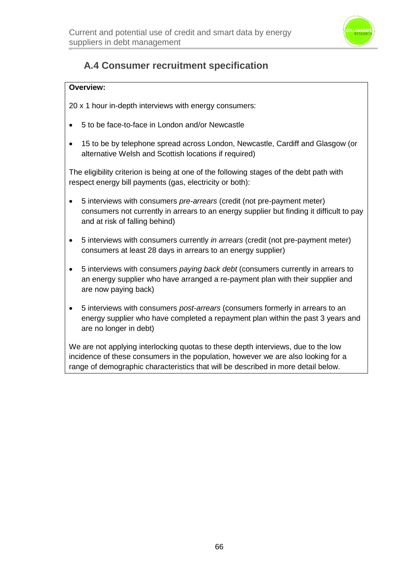

## **A.4 Consumer recruitment specification**

#### **Overview:**

20 x 1 hour in-depth interviews with energy consumers:

- 5 to be face-to-face in London and/or Newcastle
- 15 to be by telephone spread across London, Newcastle, Cardiff and Glasgow (or alternative Welsh and Scottish locations if required)

The eligibility criterion is being at one of the following stages of the debt path with respect energy bill payments (gas, electricity or both):

- 5 interviews with consumers *pre-arrears* (credit (not pre-payment meter) consumers not currently in arrears to an energy supplier but finding it difficult to pay and at risk of falling behind)
- 5 interviews with consumers currently *in arrears* (credit (not pre-payment meter) consumers at least 28 days in arrears to an energy supplier)
- 5 interviews with consumers *paying back debt* (consumers currently in arrears to an energy supplier who have arranged a re-payment plan with their supplier and are now paying back)
- 5 interviews with consumers *post-arrears* (consumers formerly in arrears to an energy supplier who have completed a repayment plan within the past 3 years and are no longer in debt)

We are not applying interlocking quotas to these depth interviews, due to the low incidence of these consumers in the population, however we are also looking for a range of demographic characteristics that will be described in more detail below.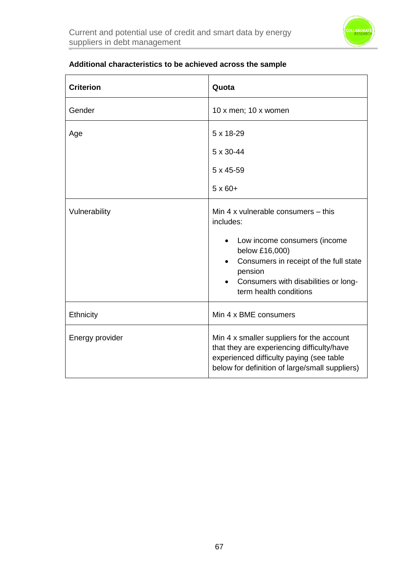

| <b>Criterion</b> | Quota                                                                                                                                                                                                                     |
|------------------|---------------------------------------------------------------------------------------------------------------------------------------------------------------------------------------------------------------------------|
| Gender           | 10 x men; 10 x women                                                                                                                                                                                                      |
| Age              | 5 x 18-29<br>5 x 30-44<br>$5 \times 45 - 59$<br>$5 \times 60+$                                                                                                                                                            |
| Vulnerability    | Min 4 x vulnerable consumers - this<br>includes:<br>Low income consumers (income<br>below £16,000)<br>Consumers in receipt of the full state<br>pension<br>Consumers with disabilities or long-<br>term health conditions |
| Ethnicity        | Min 4 x BME consumers                                                                                                                                                                                                     |
| Energy provider  | Min 4 x smaller suppliers for the account<br>that they are experiencing difficulty/have<br>experienced difficulty paying (see table<br>below for definition of large/small suppliers)                                     |

### **Additional characteristics to be achieved across the sample**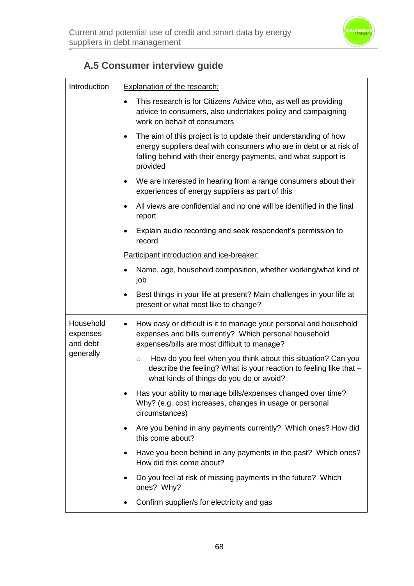

## **A.5 Consumer interview guide**

| Introduction                                   | <b>Explanation of the research:</b>                                                                                                                                                                                 |
|------------------------------------------------|---------------------------------------------------------------------------------------------------------------------------------------------------------------------------------------------------------------------|
|                                                | This research is for Citizens Advice who, as well as providing<br>advice to consumers, also undertakes policy and campaigning<br>work on behalf of consumers                                                        |
|                                                | The aim of this project is to update their understanding of how<br>energy suppliers deal with consumers who are in debt or at risk of<br>falling behind with their energy payments, and what support is<br>provided |
|                                                | We are interested in hearing from a range consumers about their<br>experiences of energy suppliers as part of this                                                                                                  |
|                                                | All views are confidential and no one will be identified in the final<br>report                                                                                                                                     |
|                                                | Explain audio recording and seek respondent's permission to<br>record                                                                                                                                               |
|                                                | Participant introduction and ice-breaker:                                                                                                                                                                           |
|                                                | Name, age, household composition, whether working/what kind of<br>job                                                                                                                                               |
|                                                | Best things in your life at present? Main challenges in your life at<br>$\bullet$<br>present or what most like to change?                                                                                           |
| Household<br>expenses<br>and debt<br>generally | How easy or difficult is it to manage your personal and household<br>$\bullet$<br>expenses and bills currently? Which personal household<br>expenses/bills are most difficult to manage?                            |
|                                                | How do you feel when you think about this situation? Can you<br>$\circ$<br>describe the feeling? What is your reaction to feeling like that -<br>what kinds of things do you do or avoid?                           |
|                                                | Has your ability to manage bills/expenses changed over time?<br>Why? (e.g. cost increases, changes in usage or personal<br>circumstances)                                                                           |
|                                                | Are you behind in any payments currently? Which ones? How did<br>this come about?                                                                                                                                   |
|                                                | Have you been behind in any payments in the past? Which ones?<br>How did this come about?                                                                                                                           |
|                                                | Do you feel at risk of missing payments in the future? Which<br>ones? Why?                                                                                                                                          |
|                                                | Confirm supplier/s for electricity and gas                                                                                                                                                                          |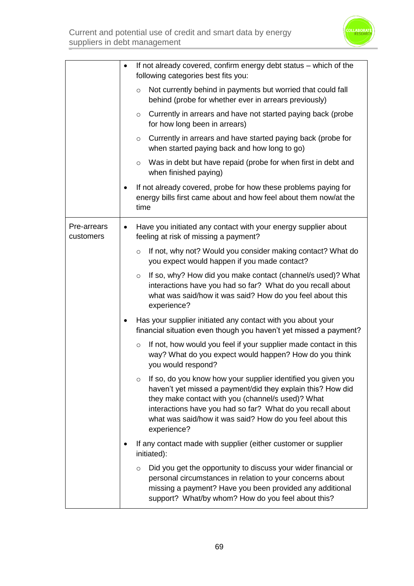|                          | If not already covered, confirm energy debt status – which of the<br>following categories best fits you:                                                                                                                                                                                                                               |
|--------------------------|----------------------------------------------------------------------------------------------------------------------------------------------------------------------------------------------------------------------------------------------------------------------------------------------------------------------------------------|
|                          | Not currently behind in payments but worried that could fall<br>$\circ$<br>behind (probe for whether ever in arrears previously)                                                                                                                                                                                                       |
|                          | Currently in arrears and have not started paying back (probe<br>$\circ$<br>for how long been in arrears)                                                                                                                                                                                                                               |
|                          | Currently in arrears and have started paying back (probe for<br>$\circ$<br>when started paying back and how long to go)                                                                                                                                                                                                                |
|                          | Was in debt but have repaid (probe for when first in debt and<br>$\circ$<br>when finished paying)                                                                                                                                                                                                                                      |
|                          | If not already covered, probe for how these problems paying for<br>energy bills first came about and how feel about them now/at the<br>time                                                                                                                                                                                            |
| Pre-arrears<br>customers | Have you initiated any contact with your energy supplier about<br>٠<br>feeling at risk of missing a payment?                                                                                                                                                                                                                           |
|                          | If not, why not? Would you consider making contact? What do<br>$\circ$<br>you expect would happen if you made contact?                                                                                                                                                                                                                 |
|                          | If so, why? How did you make contact (channel/s used)? What<br>$\circ$<br>interactions have you had so far? What do you recall about<br>what was said/how it was said? How do you feel about this<br>experience?                                                                                                                       |
|                          | Has your supplier initiated any contact with you about your<br>financial situation even though you haven't yet missed a payment?                                                                                                                                                                                                       |
|                          | If not, how would you feel if your supplier made contact in this<br>$\circ$<br>way? What do you expect would happen? How do you think<br>you would respond?                                                                                                                                                                            |
|                          | If so, do you know how your supplier identified you given you<br>$\circ$<br>haven't yet missed a payment/did they explain this? How did<br>they make contact with you (channel/s used)? What<br>interactions have you had so far? What do you recall about<br>what was said/how it was said? How do you feel about this<br>experience? |
|                          | If any contact made with supplier (either customer or supplier<br>initiated):                                                                                                                                                                                                                                                          |
|                          | Did you get the opportunity to discuss your wider financial or<br>$\circ$<br>personal circumstances in relation to your concerns about<br>missing a payment? Have you been provided any additional<br>support? What/by whom? How do you feel about this?                                                                               |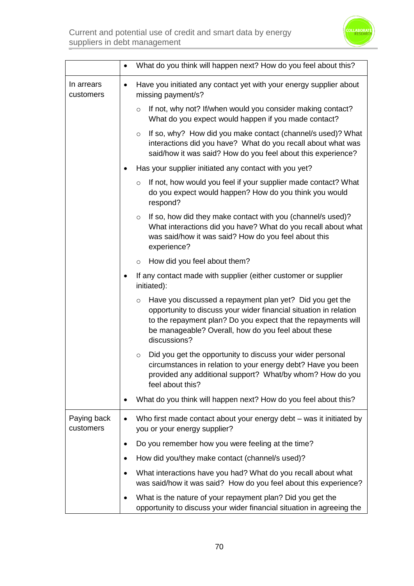|                          | What do you think will happen next? How do you feel about this?                                                                                                                                                                                                                  |
|--------------------------|----------------------------------------------------------------------------------------------------------------------------------------------------------------------------------------------------------------------------------------------------------------------------------|
| In arrears<br>customers  | Have you initiated any contact yet with your energy supplier about<br>$\bullet$<br>missing payment/s?                                                                                                                                                                            |
|                          | If not, why not? If/when would you consider making contact?<br>$\circ$<br>What do you expect would happen if you made contact?                                                                                                                                                   |
|                          | If so, why? How did you make contact (channel/s used)? What<br>$\circ$<br>interactions did you have? What do you recall about what was<br>said/how it was said? How do you feel about this experience?                                                                           |
|                          | Has your supplier initiated any contact with you yet?                                                                                                                                                                                                                            |
|                          | If not, how would you feel if your supplier made contact? What<br>$\circ$<br>do you expect would happen? How do you think you would<br>respond?                                                                                                                                  |
|                          | If so, how did they make contact with you (channel/s used)?<br>$\circ$<br>What interactions did you have? What do you recall about what<br>was said/how it was said? How do you feel about this<br>experience?                                                                   |
|                          | How did you feel about them?<br>$\circ$                                                                                                                                                                                                                                          |
|                          | If any contact made with supplier (either customer or supplier<br>٠<br>initiated):                                                                                                                                                                                               |
|                          | Have you discussed a repayment plan yet? Did you get the<br>$\circ$<br>opportunity to discuss your wider financial situation in relation<br>to the repayment plan? Do you expect that the repayments will<br>be manageable? Overall, how do you feel about these<br>discussions? |
|                          | Did you get the opportunity to discuss your wider personal<br>$\circ$<br>circumstances in relation to your energy debt? Have you been<br>provided any additional support? What/by whom? How do you<br>feel about this?                                                           |
|                          | What do you think will happen next? How do you feel about this?                                                                                                                                                                                                                  |
| Paying back<br>customers | Who first made contact about your energy debt – was it initiated by<br>$\bullet$<br>you or your energy supplier?                                                                                                                                                                 |
|                          | Do you remember how you were feeling at the time?                                                                                                                                                                                                                                |
|                          | How did you/they make contact (channel/s used)?                                                                                                                                                                                                                                  |
|                          | What interactions have you had? What do you recall about what<br>was said/how it was said? How do you feel about this experience?                                                                                                                                                |
|                          | What is the nature of your repayment plan? Did you get the<br>opportunity to discuss your wider financial situation in agreeing the                                                                                                                                              |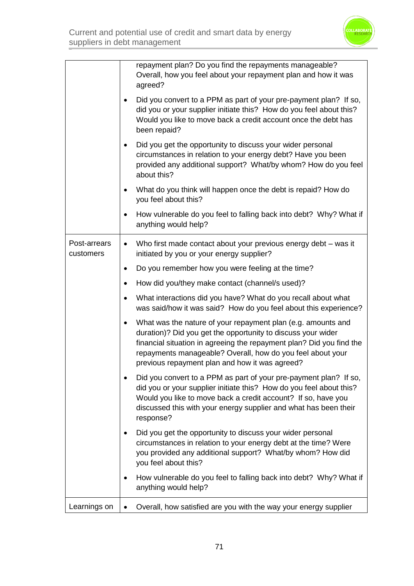

|                           | repayment plan? Do you find the repayments manageable?<br>Overall, how you feel about your repayment plan and how it was<br>agreed?                                                                                                                                                                                  |
|---------------------------|----------------------------------------------------------------------------------------------------------------------------------------------------------------------------------------------------------------------------------------------------------------------------------------------------------------------|
|                           | Did you convert to a PPM as part of your pre-payment plan? If so,<br>did you or your supplier initiate this? How do you feel about this?<br>Would you like to move back a credit account once the debt has<br>been repaid?                                                                                           |
|                           | Did you get the opportunity to discuss your wider personal<br>circumstances in relation to your energy debt? Have you been<br>provided any additional support? What/by whom? How do you feel<br>about this?                                                                                                          |
|                           | What do you think will happen once the debt is repaid? How do<br>you feel about this?                                                                                                                                                                                                                                |
|                           | How vulnerable do you feel to falling back into debt? Why? What if<br>anything would help?                                                                                                                                                                                                                           |
| Post-arrears<br>customers | Who first made contact about your previous energy debt - was it<br>$\bullet$<br>initiated by you or your energy supplier?                                                                                                                                                                                            |
|                           | Do you remember how you were feeling at the time?<br>$\bullet$                                                                                                                                                                                                                                                       |
|                           | How did you/they make contact (channel/s used)?                                                                                                                                                                                                                                                                      |
|                           | What interactions did you have? What do you recall about what<br>was said/how it was said? How do you feel about this experience?                                                                                                                                                                                    |
|                           | What was the nature of your repayment plan (e.g. amounts and<br>duration)? Did you get the opportunity to discuss your wider<br>financial situation in agreeing the repayment plan? Did you find the<br>repayments manageable? Overall, how do you feel about your<br>previous repayment plan and how it was agreed? |
|                           | Did you convert to a PPM as part of your pre-payment plan? If so,<br>did you or your supplier initiate this? How do you feel about this?<br>Would you like to move back a credit account? If so, have you<br>discussed this with your energy supplier and what has been their<br>response?                           |
|                           | Did you get the opportunity to discuss your wider personal<br>circumstances in relation to your energy debt at the time? Were<br>you provided any additional support? What/by whom? How did<br>you feel about this?                                                                                                  |
|                           | How vulnerable do you feel to falling back into debt? Why? What if<br>٠<br>anything would help?                                                                                                                                                                                                                      |
| Learnings on              | Overall, how satisfied are you with the way your energy supplier<br>$\bullet$                                                                                                                                                                                                                                        |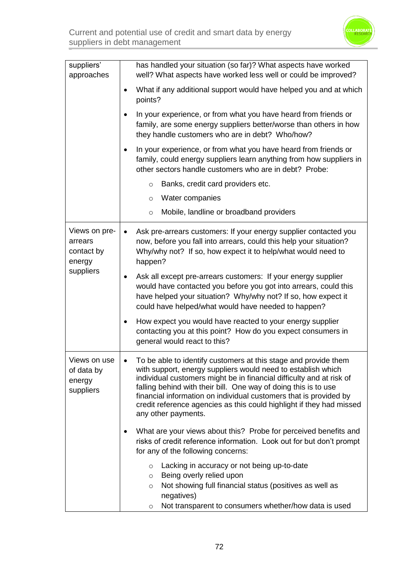

| suppliers'<br>approaches                                      | has handled your situation (so far)? What aspects have worked<br>well? What aspects have worked less well or could be improved?                                                                                                                                                                                                                                                                                                                                                                                                                                                                                                             |
|---------------------------------------------------------------|---------------------------------------------------------------------------------------------------------------------------------------------------------------------------------------------------------------------------------------------------------------------------------------------------------------------------------------------------------------------------------------------------------------------------------------------------------------------------------------------------------------------------------------------------------------------------------------------------------------------------------------------|
|                                                               | What if any additional support would have helped you and at which<br>points?                                                                                                                                                                                                                                                                                                                                                                                                                                                                                                                                                                |
|                                                               | In your experience, or from what you have heard from friends or<br>family, are some energy suppliers better/worse than others in how<br>they handle customers who are in debt? Who/how?                                                                                                                                                                                                                                                                                                                                                                                                                                                     |
|                                                               | In your experience, or from what you have heard from friends or<br>family, could energy suppliers learn anything from how suppliers in<br>other sectors handle customers who are in debt? Probe:                                                                                                                                                                                                                                                                                                                                                                                                                                            |
|                                                               | Banks, credit card providers etc.<br>$\circ$                                                                                                                                                                                                                                                                                                                                                                                                                                                                                                                                                                                                |
|                                                               | Water companies<br>$\circ$                                                                                                                                                                                                                                                                                                                                                                                                                                                                                                                                                                                                                  |
|                                                               | Mobile, landline or broadband providers<br>$\circ$                                                                                                                                                                                                                                                                                                                                                                                                                                                                                                                                                                                          |
| Views on pre-<br>arrears<br>contact by<br>energy<br>suppliers | Ask pre-arrears customers: If your energy supplier contacted you<br>now, before you fall into arrears, could this help your situation?<br>Why/why not? If so, how expect it to help/what would need to<br>happen?<br>Ask all except pre-arrears customers: If your energy supplier<br>would have contacted you before you got into arrears, could this<br>have helped your situation? Why/why not? If so, how expect it<br>could have helped/what would have needed to happen?<br>How expect you would have reacted to your energy supplier<br>contacting you at this point? How do you expect consumers in<br>general would react to this? |
| Views on use<br>of data by<br>energy<br>suppliers             | To be able to identify customers at this stage and provide them<br>$\bullet$<br>with support, energy suppliers would need to establish which<br>individual customers might be in financial difficulty and at risk of<br>falling behind with their bill. One way of doing this is to use<br>financial information on individual customers that is provided by<br>credit reference agencies as this could highlight if they had missed<br>any other payments.                                                                                                                                                                                 |
|                                                               | What are your views about this? Probe for perceived benefits and<br>risks of credit reference information. Look out for but don't prompt<br>for any of the following concerns:                                                                                                                                                                                                                                                                                                                                                                                                                                                              |
|                                                               | Lacking in accuracy or not being up-to-date<br>$\circ$<br>Being overly relied upon<br>$\circ$<br>Not showing full financial status (positives as well as<br>$\circ$<br>negatives)<br>Not transparent to consumers whether/how data is used<br>$\circ$                                                                                                                                                                                                                                                                                                                                                                                       |